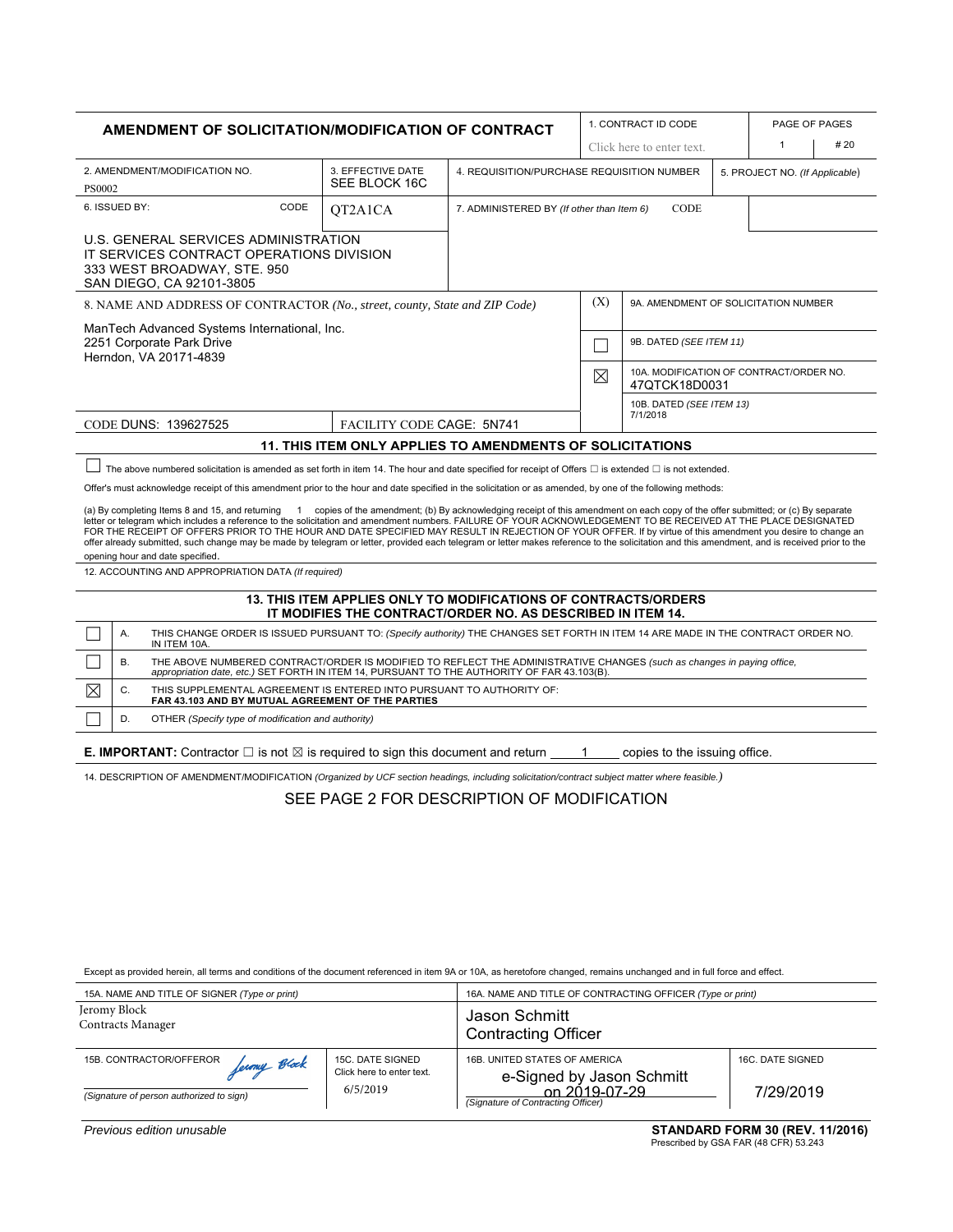| AMENDMENT OF SOLICITATION/MODIFICATION OF CONTRACT                                                                                                                                                                                 |                                                                                                                                                                                                                                                                                                                                                                                                                                                                                                                                                                                                                                                                                                                                                           |      |                                    |                                                                              | 1. CONTRACT ID CODE<br>PAGE OF PAGES |                                                          |                                      |              |     |  |  |
|------------------------------------------------------------------------------------------------------------------------------------------------------------------------------------------------------------------------------------|-----------------------------------------------------------------------------------------------------------------------------------------------------------------------------------------------------------------------------------------------------------------------------------------------------------------------------------------------------------------------------------------------------------------------------------------------------------------------------------------------------------------------------------------------------------------------------------------------------------------------------------------------------------------------------------------------------------------------------------------------------------|------|------------------------------------|------------------------------------------------------------------------------|--------------------------------------|----------------------------------------------------------|--------------------------------------|--------------|-----|--|--|
|                                                                                                                                                                                                                                    |                                                                                                                                                                                                                                                                                                                                                                                                                                                                                                                                                                                                                                                                                                                                                           |      |                                    |                                                                              |                                      | Click here to enter text.                                |                                      | $\mathbf{1}$ | #20 |  |  |
| <b>PS0002</b>                                                                                                                                                                                                                      | 2. AMENDMENT/MODIFICATION NO.                                                                                                                                                                                                                                                                                                                                                                                                                                                                                                                                                                                                                                                                                                                             |      | 3. EFFECTIVE DATE<br>SEE BLOCK 16C | 4. REQUISITION/PURCHASE REQUISITION NUMBER<br>5. PROJECT NO. (If Applicable) |                                      |                                                          |                                      |              |     |  |  |
| 6. ISSUED BY:                                                                                                                                                                                                                      |                                                                                                                                                                                                                                                                                                                                                                                                                                                                                                                                                                                                                                                                                                                                                           | CODE | QT2A1CA                            | 7. ADMINISTERED BY (If other than Item 6)                                    |                                      | CODE                                                     |                                      |              |     |  |  |
|                                                                                                                                                                                                                                    | U.S. GENERAL SERVICES ADMINISTRATION<br>IT SERVICES CONTRACT OPERATIONS DIVISION<br>333 WEST BROADWAY, STE. 950<br>SAN DIEGO, CA 92101-3805                                                                                                                                                                                                                                                                                                                                                                                                                                                                                                                                                                                                               |      |                                    |                                                                              |                                      |                                                          |                                      |              |     |  |  |
|                                                                                                                                                                                                                                    | 8. NAME AND ADDRESS OF CONTRACTOR (No., street, county, State and ZIP Code)                                                                                                                                                                                                                                                                                                                                                                                                                                                                                                                                                                                                                                                                               |      |                                    |                                                                              | (X)                                  |                                                          | 9A. AMENDMENT OF SOLICITATION NUMBER |              |     |  |  |
|                                                                                                                                                                                                                                    | ManTech Advanced Systems International, Inc.<br>2251 Corporate Park Drive<br>Herndon, VA 20171-4839                                                                                                                                                                                                                                                                                                                                                                                                                                                                                                                                                                                                                                                       |      |                                    |                                                                              |                                      |                                                          |                                      |              |     |  |  |
|                                                                                                                                                                                                                                    |                                                                                                                                                                                                                                                                                                                                                                                                                                                                                                                                                                                                                                                                                                                                                           |      |                                    |                                                                              | ⊠                                    | 10A. MODIFICATION OF CONTRACT/ORDER NO.<br>47QTCK18D0031 |                                      |              |     |  |  |
|                                                                                                                                                                                                                                    | CODE DUNS: 139627525                                                                                                                                                                                                                                                                                                                                                                                                                                                                                                                                                                                                                                                                                                                                      |      | <b>FACILITY CODE CAGE: 5N741</b>   | 10B. DATED (SEE ITEM 13)<br>7/1/2018                                         |                                      |                                                          |                                      |              |     |  |  |
|                                                                                                                                                                                                                                    |                                                                                                                                                                                                                                                                                                                                                                                                                                                                                                                                                                                                                                                                                                                                                           |      |                                    | 11. THIS ITEM ONLY APPLIES TO AMENDMENTS OF SOLICITATIONS                    |                                      |                                                          |                                      |              |     |  |  |
|                                                                                                                                                                                                                                    | The above numbered solicitation is amended as set forth in item 14. The hour and date specified for receipt of Offers $\Box$ is extended $\Box$ is not extended.                                                                                                                                                                                                                                                                                                                                                                                                                                                                                                                                                                                          |      |                                    |                                                                              |                                      |                                                          |                                      |              |     |  |  |
|                                                                                                                                                                                                                                    | Offer's must acknowledge receipt of this amendment prior to the hour and date specified in the solicitation or as amended, by one of the following methods:                                                                                                                                                                                                                                                                                                                                                                                                                                                                                                                                                                                               |      |                                    |                                                                              |                                      |                                                          |                                      |              |     |  |  |
|                                                                                                                                                                                                                                    | (a) By completing Items 8 and 15, and returning 1 copies of the amendment; (b) By acknowledging receipt of this amendment on each copy of the offer submitted; or (c) By separate<br>letter or telegram which includes a reference to the solicitation and amendment numbers. FAILURE OF YOUR ACKNOWLEDGEMENT TO BE RECEIVED AT THE PLACE DESIGNATED<br>FOR THE RECEIPT OF OFFERS PRIOR TO THE HOUR AND DATE SPECIFIED MAY RESULT IN REJECTION OF YOUR OFFER. If by virtue of this amendment you desire to change an<br>offer already submitted, such change may be made by telegram or letter, provided each telegram or letter makes reference to the solicitation and this amendment, and is received prior to the<br>opening hour and date specified. |      |                                    |                                                                              |                                      |                                                          |                                      |              |     |  |  |
|                                                                                                                                                                                                                                    | 12. ACCOUNTING AND APPROPRIATION DATA (If required)                                                                                                                                                                                                                                                                                                                                                                                                                                                                                                                                                                                                                                                                                                       |      |                                    |                                                                              |                                      |                                                          |                                      |              |     |  |  |
| 13. THIS ITEM APPLIES ONLY TO MODIFICATIONS OF CONTRACTS/ORDERS<br>IT MODIFIES THE CONTRACT/ORDER NO. AS DESCRIBED IN ITEM 14.                                                                                                     |                                                                                                                                                                                                                                                                                                                                                                                                                                                                                                                                                                                                                                                                                                                                                           |      |                                    |                                                                              |                                      |                                                          |                                      |              |     |  |  |
|                                                                                                                                                                                                                                    | THIS CHANGE ORDER IS ISSUED PURSUANT TO: (Specify authority) THE CHANGES SET FORTH IN ITEM 14 ARE MADE IN THE CONTRACT ORDER NO.<br>Α.<br>IN ITEM 10A.                                                                                                                                                                                                                                                                                                                                                                                                                                                                                                                                                                                                    |      |                                    |                                                                              |                                      |                                                          |                                      |              |     |  |  |
| THE ABOVE NUMBERED CONTRACT/ORDER IS MODIFIED TO REFLECT THE ADMINISTRATIVE CHANGES (such as changes in paying office,<br><b>B.</b><br>appropriation date, etc.) SET FORTH IN ITEM 14, PURSUANT TO THE AUTHORITY OF FAR 43.103(B). |                                                                                                                                                                                                                                                                                                                                                                                                                                                                                                                                                                                                                                                                                                                                                           |      |                                    |                                                                              |                                      |                                                          |                                      |              |     |  |  |
| ⊠<br>C.<br>THIS SUPPLEMENTAL AGREEMENT IS ENTERED INTO PURSUANT TO AUTHORITY OF:<br>FAR 43.103 AND BY MUTUAL AGREEMENT OF THE PARTIES                                                                                              |                                                                                                                                                                                                                                                                                                                                                                                                                                                                                                                                                                                                                                                                                                                                                           |      |                                    |                                                                              |                                      |                                                          |                                      |              |     |  |  |
| D.<br>OTHER (Specify type of modification and authority)                                                                                                                                                                           |                                                                                                                                                                                                                                                                                                                                                                                                                                                                                                                                                                                                                                                                                                                                                           |      |                                    |                                                                              |                                      |                                                          |                                      |              |     |  |  |
| copies to the issuing office.                                                                                                                                                                                                      |                                                                                                                                                                                                                                                                                                                                                                                                                                                                                                                                                                                                                                                                                                                                                           |      |                                    |                                                                              |                                      |                                                          |                                      |              |     |  |  |
| 14. DESCRIPTION OF AMENDMENT/MODIFICATION (Organized by UCF section headings, including solicitation/contract subject matter where feasible.)                                                                                      |                                                                                                                                                                                                                                                                                                                                                                                                                                                                                                                                                                                                                                                                                                                                                           |      |                                    |                                                                              |                                      |                                                          |                                      |              |     |  |  |

#### SEE PAGE 2 FOR DESCRIPTION OF MODIFICATION

Except as provided herein, all terms and conditions of the document referenced in item 9A or 10A, as heretofore changed, remains unchanged and in full force and effect.

| 15A. NAME AND TITLE OF SIGNER (Type or print) |                                               | 16A. NAME AND TITLE OF CONTRACTING OFFICER (Type or print) |                  |  |  |
|-----------------------------------------------|-----------------------------------------------|------------------------------------------------------------|------------------|--|--|
| Jeromy Block<br>Contracts Manager             |                                               | Jason Schmitt<br><b>Contracting Officer</b>                |                  |  |  |
| 15B. CONTRACTOR/OFFEROR<br>Jerony Block       | 15C. DATE SIGNED<br>Click here to enter text. | 16B. UNITED STATES OF AMERICA<br>e-Signed by Jason Schmitt | 16C. DATE SIGNED |  |  |
| (Signature of person authorized to sign)      | 6/5/2019                                      | on 2019-07-29<br>(Signature of Contracting Officer)        | 7/29/2019        |  |  |

*Previous edition unusable* **STANDARD FORM 30 (REV. 11/2016)**  Prescribed by GSA FAR (48 CFR) 53.243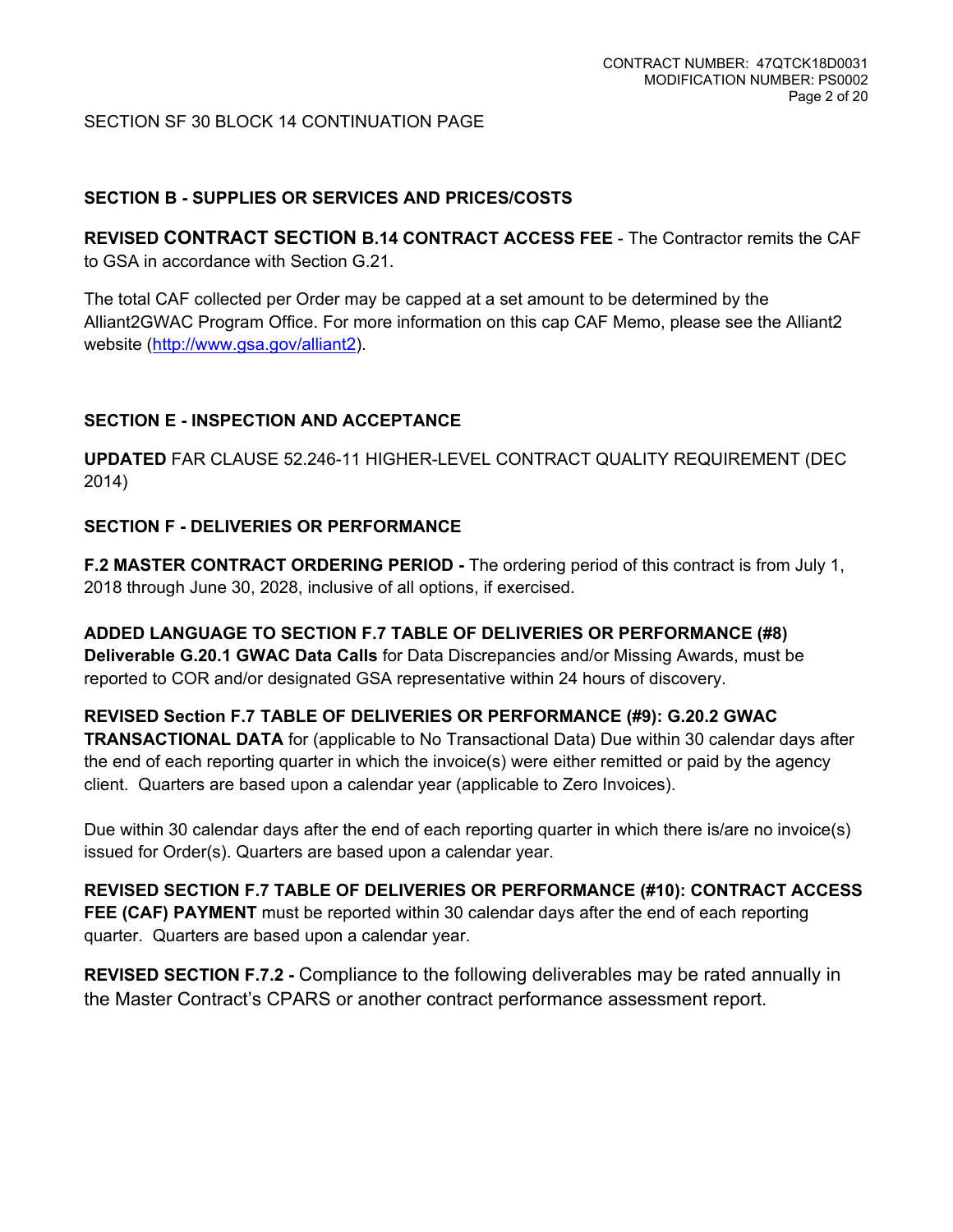#### SECTION SF 30 BLOCK 14 CONTINUATION PAGE

#### **SECTION B - SUPPLIES OR SERVICES AND PRICES/COSTS**

**REVISED CONTRACT SECTION B.14 CONTRACT ACCESS FEE** - The Contractor remits the CAF to GSA in accordance with Section G.21.

The total CAF collected per Order may be capped at a set amount to be determined by the Alliant2GWAC Program Office. For more information on this cap CAF Memo, please see the Alliant2 website [\(http://www.gsa.gov/alliant2\)](http://www.gsa.gov/alliant2).

#### **SECTION E - INSPECTION AND ACCEPTANCE**

**UPDATED** FAR CLAUSE 52.246-11 HIGHER-LEVEL CONTRACT QUALITY REQUIREMENT (DEC 2014)

#### **SECTION F - DELIVERIES OR PERFORMANCE**

**F.2 MASTER CONTRACT ORDERING PERIOD -** The ordering period of this contract is from July 1, 2018 through June 30, 2028, inclusive of all options, if exercised.

**ADDED LANGUAGE TO SECTION F.7 TABLE OF DELIVERIES OR PERFORMANCE (#8) Deliverable G.20.1 GWAC Data Calls** for Data Discrepancies and/or Missing Awards, must be reported to COR and/or designated GSA representative within 24 hours of discovery.

**REVISED Section F.7 TABLE OF DELIVERIES OR PERFORMANCE (#9): G.20.2 GWAC TRANSACTIONAL DATA** for (applicable to No Transactional Data) Due within 30 calendar days after the end of each reporting quarter in which the invoice(s) were either remitted or paid by the agency

client. Quarters are based upon a calendar year (applicable to Zero Invoices).

Due within 30 calendar days after the end of each reporting quarter in which there is/are no invoice(s) issued for Order(s). Quarters are based upon a calendar year.

**REVISED SECTION F.7 TABLE OF DELIVERIES OR PERFORMANCE (#10): CONTRACT ACCESS FEE (CAF) PAYMENT** must be reported within 30 calendar days after the end of each reporting quarter. Quarters are based upon a calendar year.

**REVISED SECTION F.7.2 -** Compliance to the following deliverables may be rated annually in the Master Contract's CPARS or another contract performance assessment report.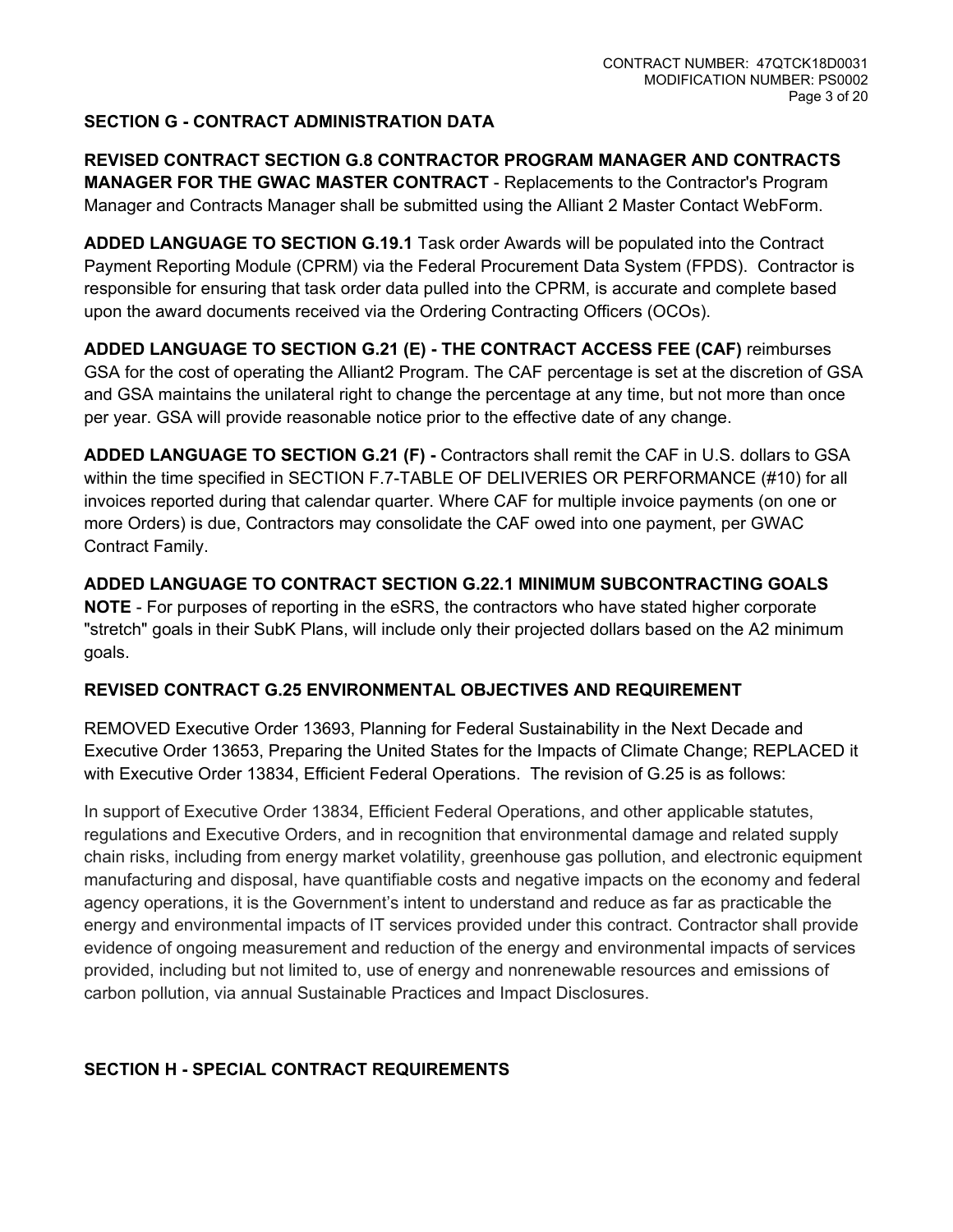# **SECTION G - CONTRACT ADMINISTRATION DATA**

**REVISED CONTRACT SECTION G.8 CONTRACTOR PROGRAM MANAGER AND CONTRACTS MANAGER FOR THE GWAC MASTER CONTRACT** - Replacements to the Contractor's Program Manager and Contracts Manager shall be submitted using the Alliant 2 Master Contact WebForm.

**ADDED LANGUAGE TO SECTION G.19.1** Task order Awards will be populated into the Contract Payment Reporting Module (CPRM) via the Federal Procurement Data System (FPDS). Contractor is responsible for ensuring that task order data pulled into the CPRM, is accurate and complete based upon the award documents received via the Ordering Contracting Officers (OCOs).

**ADDED LANGUAGE TO SECTION G.21 (E) - THE CONTRACT ACCESS FEE (CAF)** reimburses GSA for the cost of operating the Alliant2 Program. The CAF percentage is set at the discretion of GSA and GSA maintains the unilateral right to change the percentage at any time, but not more than once per year. GSA will provide reasonable notice prior to the effective date of any change.

**ADDED LANGUAGE TO SECTION G.21 (F) -** Contractors shall remit the CAF in U.S. dollars to GSA within the time specified in SECTION F.7-TABLE OF DELIVERIES OR PERFORMANCE (#10) for all invoices reported during that calendar quarter. Where CAF for multiple invoice payments (on one or more Orders) is due, Contractors may consolidate the CAF owed into one payment, per GWAC Contract Family.

**ADDED LANGUAGE TO CONTRACT SECTION G.22.1 MINIMUM SUBCONTRACTING GOALS NOTE** - For purposes of reporting in the eSRS, the contractors who have stated higher corporate "stretch" goals in their SubK Plans, will include only their projected dollars based on the A2 minimum goals.

# **REVISED CONTRACT G.25 ENVIRONMENTAL OBJECTIVES AND REQUIREMENT**

REMOVED Executive Order 13693, Planning for Federal Sustainability in the Next Decade and Executive Order 13653, Preparing the United States for the Impacts of Climate Change; REPLACED it with Executive Order 13834, Efficient Federal Operations. The revision of G.25 is as follows:

In support of Executive Order 13834, Efficient Federal Operations, and other applicable statutes, regulations and Executive Orders, and in recognition that environmental damage and related supply chain risks, including from energy market volatility, greenhouse gas pollution, and electronic equipment manufacturing and disposal, have quantifiable costs and negative impacts on the economy and federal agency operations, it is the Government's intent to understand and reduce as far as practicable the energy and environmental impacts of IT services provided under this contract. Contractor shall provide evidence of ongoing measurement and reduction of the energy and environmental impacts of services provided, including but not limited to, use of energy and nonrenewable resources and emissions of carbon pollution, via annual Sustainable Practices and Impact Disclosures.

# **SECTION H - SPECIAL CONTRACT REQUIREMENTS**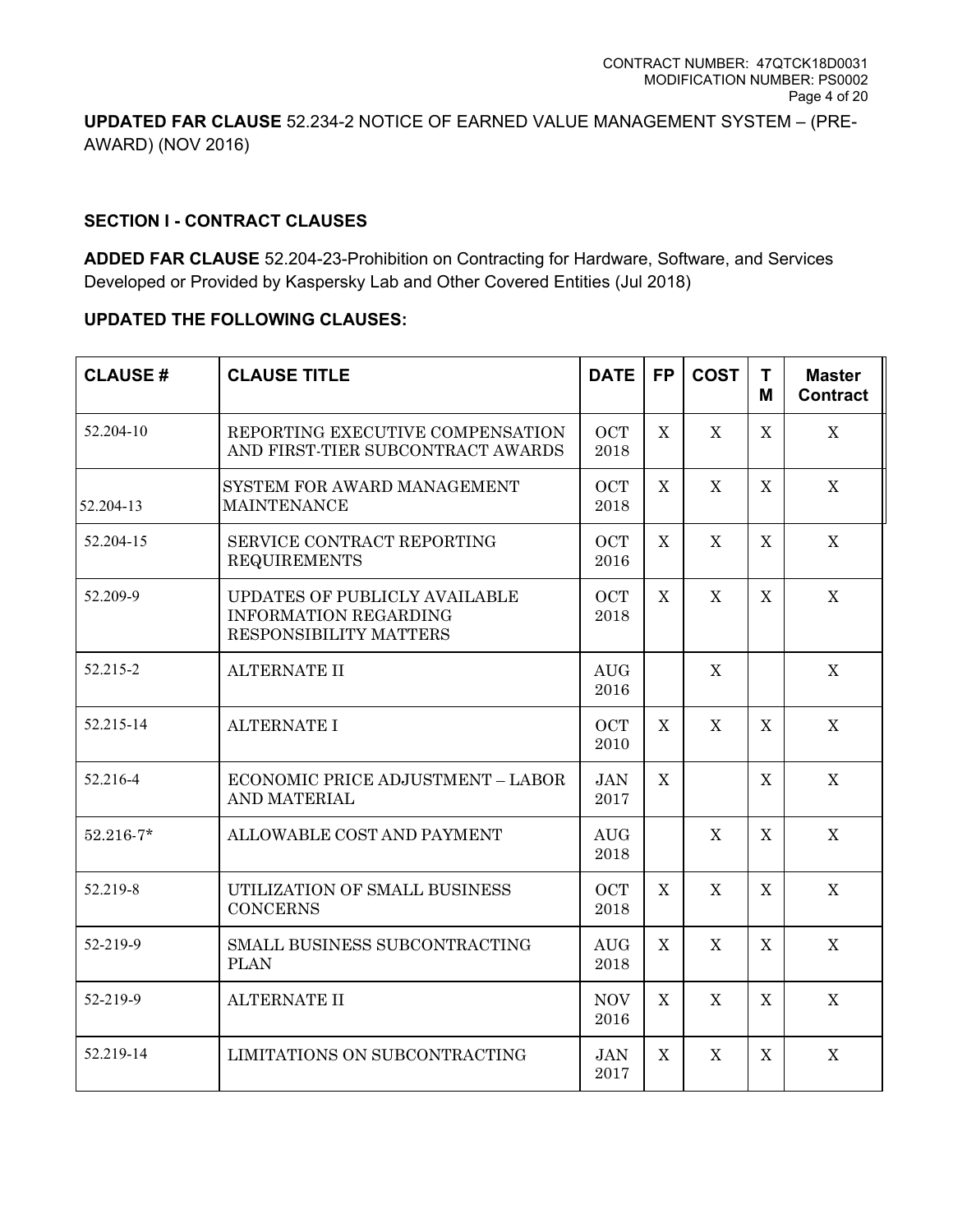**UPDATED FAR CLAUSE** 52.234-2 NOTICE OF EARNED VALUE MANAGEMENT SYSTEM – (PRE-AWARD) (NOV 2016)

#### **SECTION I - CONTRACT CLAUSES**

**ADDED FAR CLAUSE** 52.204-23-Prohibition on Contracting for Hardware, Software, and Services Developed or Provided by Kaspersky Lab and Other Covered Entities (Jul 2018)

#### **UPDATED THE FOLLOWING CLAUSES:**

| <b>CLAUSE#</b> | <b>CLAUSE TITLE</b>                                                                     | <b>DATE</b>        | <b>FP</b> | <b>COST</b>  | T.<br>M | <b>Master</b><br><b>Contract</b> |
|----------------|-----------------------------------------------------------------------------------------|--------------------|-----------|--------------|---------|----------------------------------|
| 52.204-10      | REPORTING EXECUTIVE COMPENSATION<br>AND FIRST-TIER SUBCONTRACT AWARDS                   | <b>OCT</b><br>2018 | X         | X            | X       | X                                |
| 52.204-13      | SYSTEM FOR AWARD MANAGEMENT<br><b>MAINTENANCE</b>                                       | <b>OCT</b><br>2018 | X         | X            | X       | X                                |
| 52.204-15      | SERVICE CONTRACT REPORTING<br><b>REQUIREMENTS</b>                                       | <b>OCT</b><br>2016 | X         | X            | X       | X                                |
| 52.209-9       | UPDATES OF PUBLICLY AVAILABLE<br><b>INFORMATION REGARDING</b><br>RESPONSIBILITY MATTERS | <b>OCT</b><br>2018 | X         | X            | X       | X                                |
| 52.215-2       | <b>ALTERNATE II</b>                                                                     | <b>AUG</b><br>2016 |           | X            |         | X                                |
| 52.215-14      | <b>ALTERNATE I</b>                                                                      | <b>OCT</b><br>2010 | X         | X            | X       | X                                |
| 52.216-4       | ECONOMIC PRICE ADJUSTMENT - LABOR<br><b>AND MATERIAL</b>                                | <b>JAN</b><br>2017 | X         |              | X       | X                                |
| $52.216 - 7*$  | ALLOWABLE COST AND PAYMENT                                                              | <b>AUG</b><br>2018 |           | $\mathbf{X}$ | X       | X                                |
| 52.219-8       | UTILIZATION OF SMALL BUSINESS<br><b>CONCERNS</b>                                        | <b>OCT</b><br>2018 | X         | X            | X       | X                                |
| 52-219-9       | SMALL BUSINESS SUBCONTRACTING<br><b>PLAN</b>                                            | <b>AUG</b><br>2018 | X         | $\mathbf{X}$ | X       | X                                |
| 52-219-9       | <b>ALTERNATE II</b>                                                                     | <b>NOV</b><br>2016 | X         | X            | X       | X                                |
| 52.219-14      | LIMITATIONS ON SUBCONTRACTING                                                           | <b>JAN</b><br>2017 | X         | X            | X       | X                                |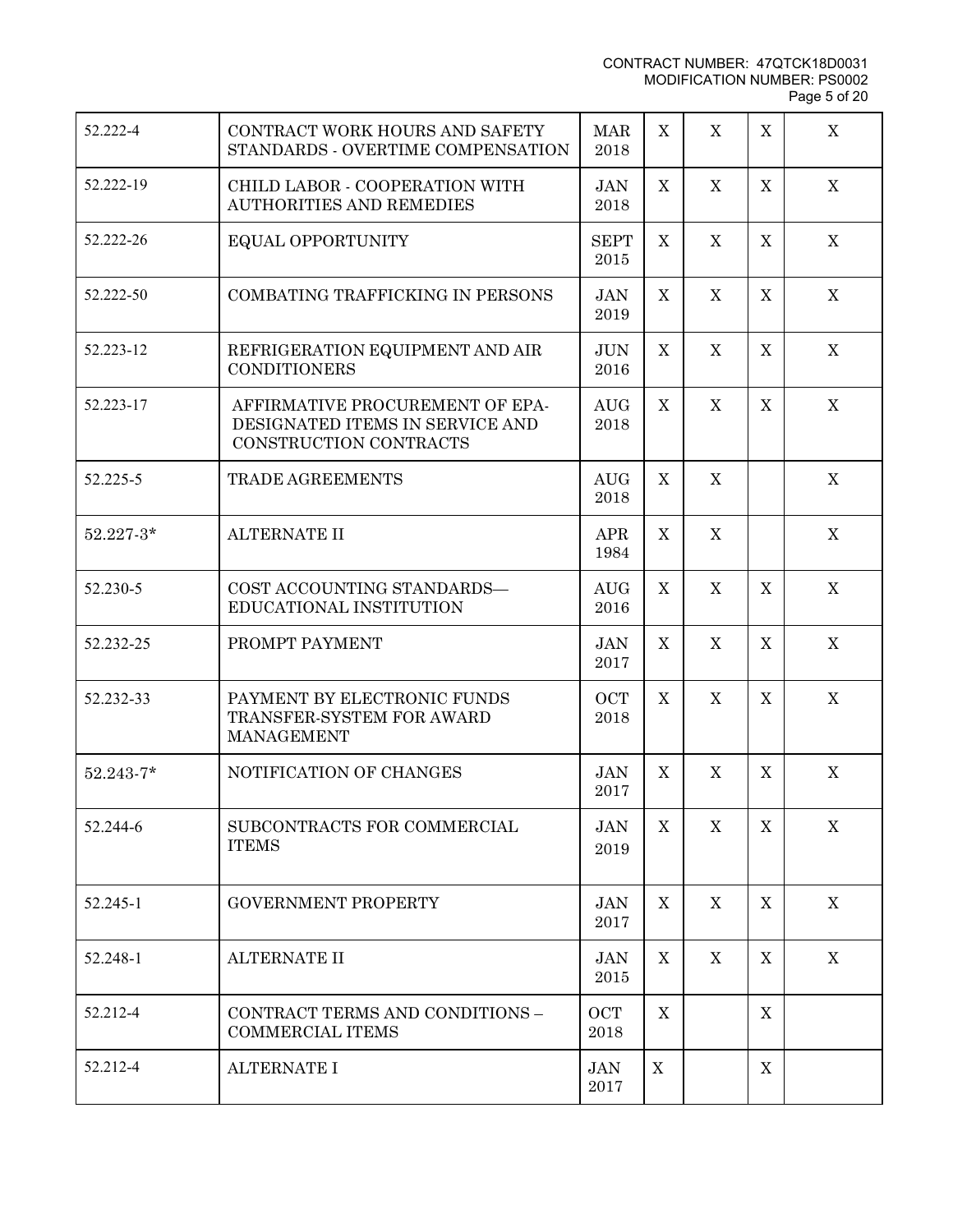CONTRACT NUMBER: 47QTCK18D0031 MODIFICATION NUMBER: PS0002 Page 5 of 20

| 52.222-4      | CONTRACT WORK HOURS AND SAFETY<br>STANDARDS - OVERTIME COMPENSATION                          | <b>MAR</b><br>2018     | X | X           | X | X           |
|---------------|----------------------------------------------------------------------------------------------|------------------------|---|-------------|---|-------------|
| 52.222-19     | CHILD LABOR - COOPERATION WITH<br>AUTHORITIES AND REMEDIES                                   | JAN<br>2018            | X | X           | X | X           |
| 52.222-26     | EQUAL OPPORTUNITY                                                                            | <b>SEPT</b><br>2015    | X | X           | X | X           |
| 52.222-50     | COMBATING TRAFFICKING IN PERSONS                                                             | JAN<br>2019            | X | X           | X | X           |
| 52.223-12     | REFRIGERATION EQUIPMENT AND AIR<br><b>CONDITIONERS</b>                                       | <b>JUN</b><br>2016     | X | X           | X | X           |
| 52.223-17     | AFFIRMATIVE PROCUREMENT OF EPA-<br>DESIGNATED ITEMS IN SERVICE AND<br>CONSTRUCTION CONTRACTS | <b>AUG</b><br>2018     | X | X           | X | X           |
| 52.225-5      | <b>TRADE AGREEMENTS</b>                                                                      | <b>AUG</b><br>2018     | X | X           |   | $\mathbf X$ |
| $52.227-3*$   | <b>ALTERNATE II</b>                                                                          | APR<br>1984            | X | X           |   | $\mathbf X$ |
| 52.230-5      | COST ACCOUNTING STANDARDS-<br>EDUCATIONAL INSTITUTION                                        | <b>AUG</b><br>2016     | X | $\mathbf X$ | X | $\mathbf X$ |
| 52.232-25     | PROMPT PAYMENT                                                                               | JAN<br>2017            | X | X           | X | $\mathbf X$ |
| 52.232-33     | PAYMENT BY ELECTRONIC FUNDS<br>TRANSFER-SYSTEM FOR AWARD<br><b>MANAGEMENT</b>                | <b>OCT</b><br>2018     | X | X           | X | X           |
| $52.243 - 7*$ | NOTIFICATION OF CHANGES                                                                      | <b>JAN</b><br>2017     | X | X           | X | X           |
| 52.244-6      | SUBCONTRACTS FOR COMMERCIAL<br><b>ITEMS</b>                                                  | <b>JAN</b><br>2019     | X | X           | X | X           |
| 52.245-1      | <b>GOVERNMENT PROPERTY</b>                                                                   | JAN<br>2017            | X | X           | X | X           |
| 52.248-1      | <b>ALTERNATE II</b>                                                                          | <b>JAN</b><br>$2015\,$ | X | X           | X | X           |
| 52.212-4      | CONTRACT TERMS AND CONDITIONS -<br><b>COMMERCIAL ITEMS</b>                                   | <b>OCT</b><br>2018     | X |             | X |             |
| 52.212-4      | <b>ALTERNATE I</b>                                                                           | <b>JAN</b><br>2017     | X |             | X |             |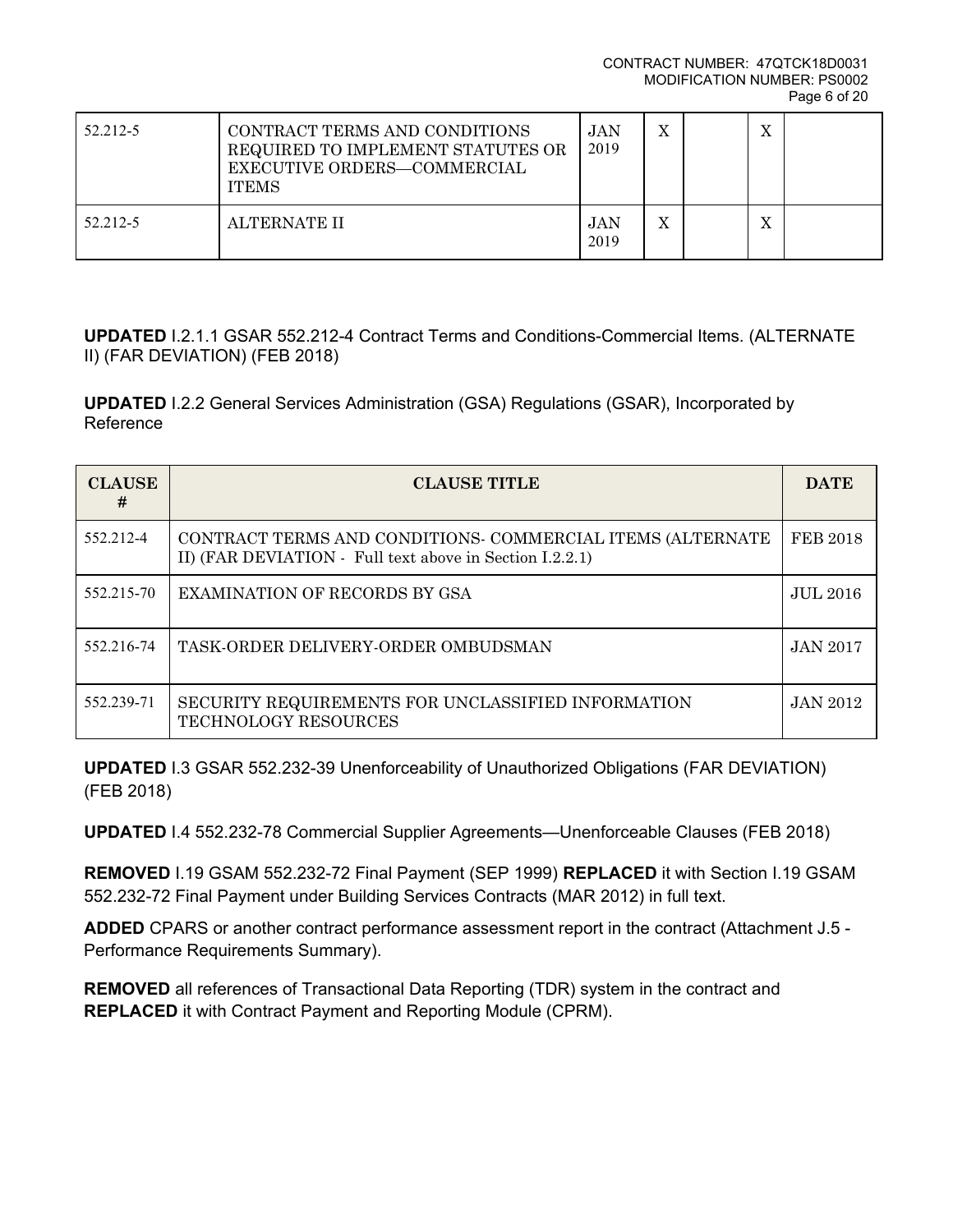| 52.212-5 | CONTRACT TERMS AND CONDITIONS<br>REQUIRED TO IMPLEMENT STATUTES OR<br>EXECUTIVE ORDERS-COMMERCIAL<br><b>ITEMS</b> | JAN.<br>2019 | X               | $\overline{\mathbf{v}}$<br>$\Lambda$ |  |
|----------|-------------------------------------------------------------------------------------------------------------------|--------------|-----------------|--------------------------------------|--|
| 52.212-5 | ALTERNATE II                                                                                                      | JAN.<br>2019 | 77<br>$\Lambda$ | $\overline{\mathbf{v}}$<br>$\Lambda$ |  |

**UPDATED** I.2.1.1 GSAR 552.212-4 Contract Terms and Conditions-Commercial Items. (ALTERNATE II) (FAR DEVIATION) (FEB 2018)

**UPDATED** I.2.2 General Services Administration (GSA) Regulations (GSAR), Incorporated by Reference

| <b>CLAUSE</b><br># | <b>CLAUSE TITLE</b>                                                                                                    | <b>DATE</b>     |
|--------------------|------------------------------------------------------------------------------------------------------------------------|-----------------|
| 552.212-4          | CONTRACT TERMS AND CONDITIONS- COMMERCIAL ITEMS (ALTERNATE<br>II) (FAR DEVIATION - Full text above in Section I.2.2.1) | <b>FEB 2018</b> |
| 552.215-70         | EXAMINATION OF RECORDS BY GSA                                                                                          | $JUIL$ 2016     |
| 552.216-74         | TASK-ORDER DELIVERY-ORDER OMBUDSMAN                                                                                    | <b>JAN 2017</b> |
| 552.239-71         | SECURITY REQUIREMENTS FOR UNCLASSIFIED INFORMATION<br><b>TECHNOLOGY RESOURCES</b>                                      | <b>JAN 2012</b> |

**UPDATED** I.3 GSAR 552.232-39 Unenforceability of Unauthorized Obligations (FAR DEVIATION) (FEB 2018)

**UPDATED** I.4 552.232-78 Commercial Supplier Agreements—Unenforceable Clauses (FEB 2018)

**REMOVED** I.19 GSAM 552.232-72 Final Payment (SEP 1999) **REPLACED** it with Section I.19 GSAM 552.232-72 Final Payment under Building Services Contracts (MAR 2012) in full text.

**ADDED** CPARS or another contract performance assessment report in the contract (Attachment J.5 - Performance Requirements Summary).

**REMOVED** all references of Transactional Data Reporting (TDR) system in the contract and **REPLACED** it with Contract Payment and Reporting Module (CPRM).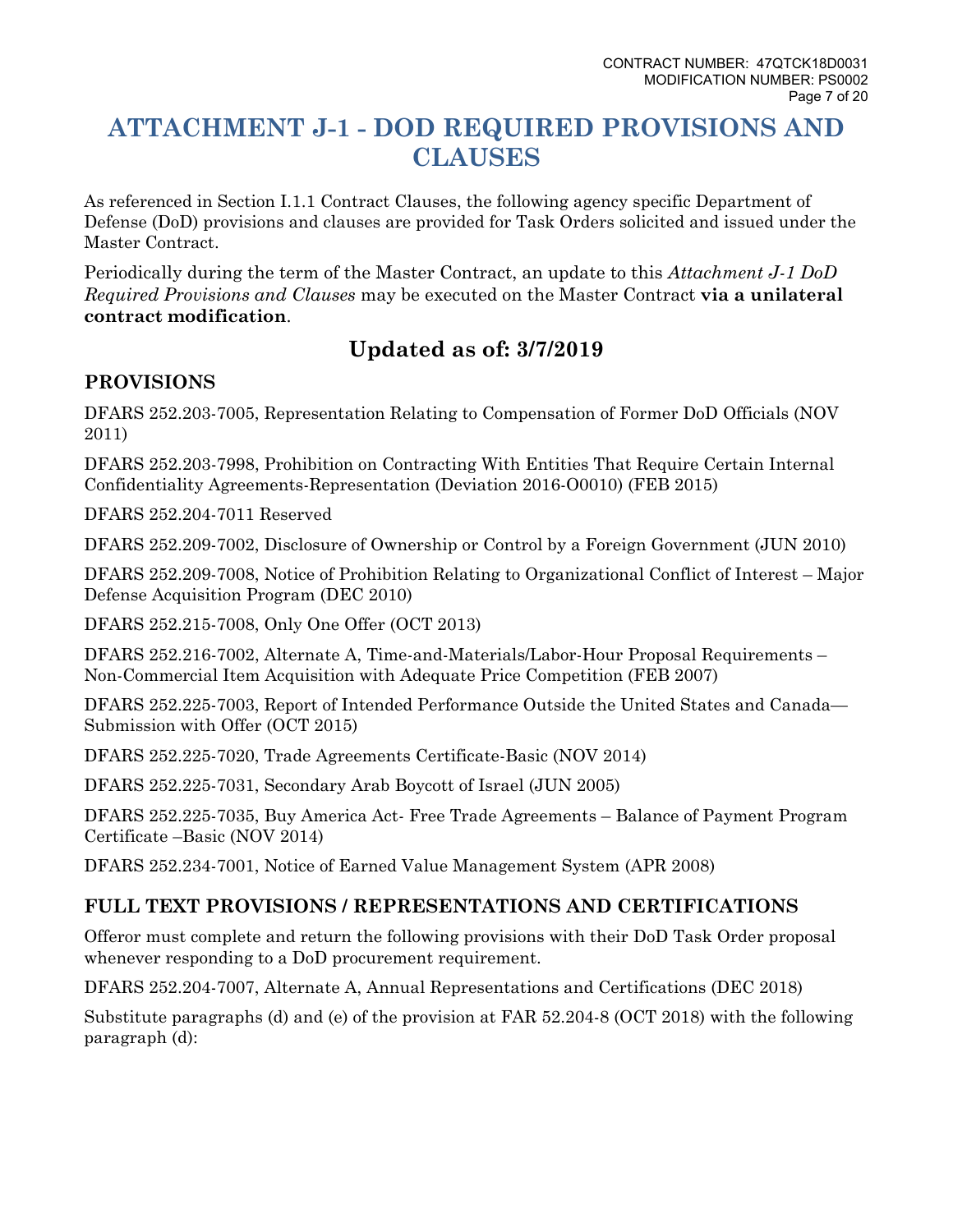# **ATTACHMENT J-1 - DOD REQUIRED PROVISIONS AND CLAUSES**

As referenced in Section I.1.1 Contract Clauses, the following agency specific Department of Defense (DoD) provisions and clauses are provided for Task Orders solicited and issued under the Master Contract.

Periodically during the term of the Master Contract, an update to this *Attachment J-1 DoD Required Provisions and Clauses* may be executed on the Master Contract **via a unilateral contract modification**.

# **Updated as of: 3/7/2019**

# **PROVISIONS**

DFARS 252.203-7005, Representation Relating to Compensation of Former DoD Officials (NOV 2011)

DFARS 252.203-7998, Prohibition on Contracting With Entities That Require Certain Internal Confidentiality Agreements-Representation (Deviation 2016-O0010) (FEB 2015)

DFARS 252.204-7011 Reserved

DFARS 252.209-7002, Disclosure of Ownership or Control by a Foreign Government (JUN 2010)

DFARS 252.209-7008, Notice of Prohibition Relating to Organizational Conflict of Interest – Major Defense Acquisition Program (DEC 2010)

DFARS 252.215-7008, Only One Offer (OCT 2013)

DFARS 252.216-7002, Alternate A, Time-and-Materials/Labor-Hour Proposal Requirements – Non-Commercial Item Acquisition with Adequate Price Competition (FEB 2007)

DFARS 252.225-7003, Report of Intended Performance Outside the United States and Canada— Submission with Offer (OCT 2015)

DFARS 252.225-7020, Trade Agreements Certificate-Basic (NOV 2014)

DFARS 252.225-7031, Secondary Arab Boycott of Israel (JUN 2005)

DFARS 252.225-7035, Buy America Act- Free Trade Agreements – Balance of Payment Program Certificate –Basic (NOV 2014)

DFARS 252.234-7001, Notice of Earned Value Management System (APR 2008)

# **FULL TEXT PROVISIONS / REPRESENTATIONS AND CERTIFICATIONS**

Offeror must complete and return the following provisions with their DoD Task Order proposal whenever responding to a DoD procurement requirement.

DFARS 252.204-7007, Alternate A, Annual Representations and Certifications (DEC 2018)

Substitute paragraphs (d) and (e) of the provision at FAR 52.204-8 (OCT 2018) with the following paragraph (d):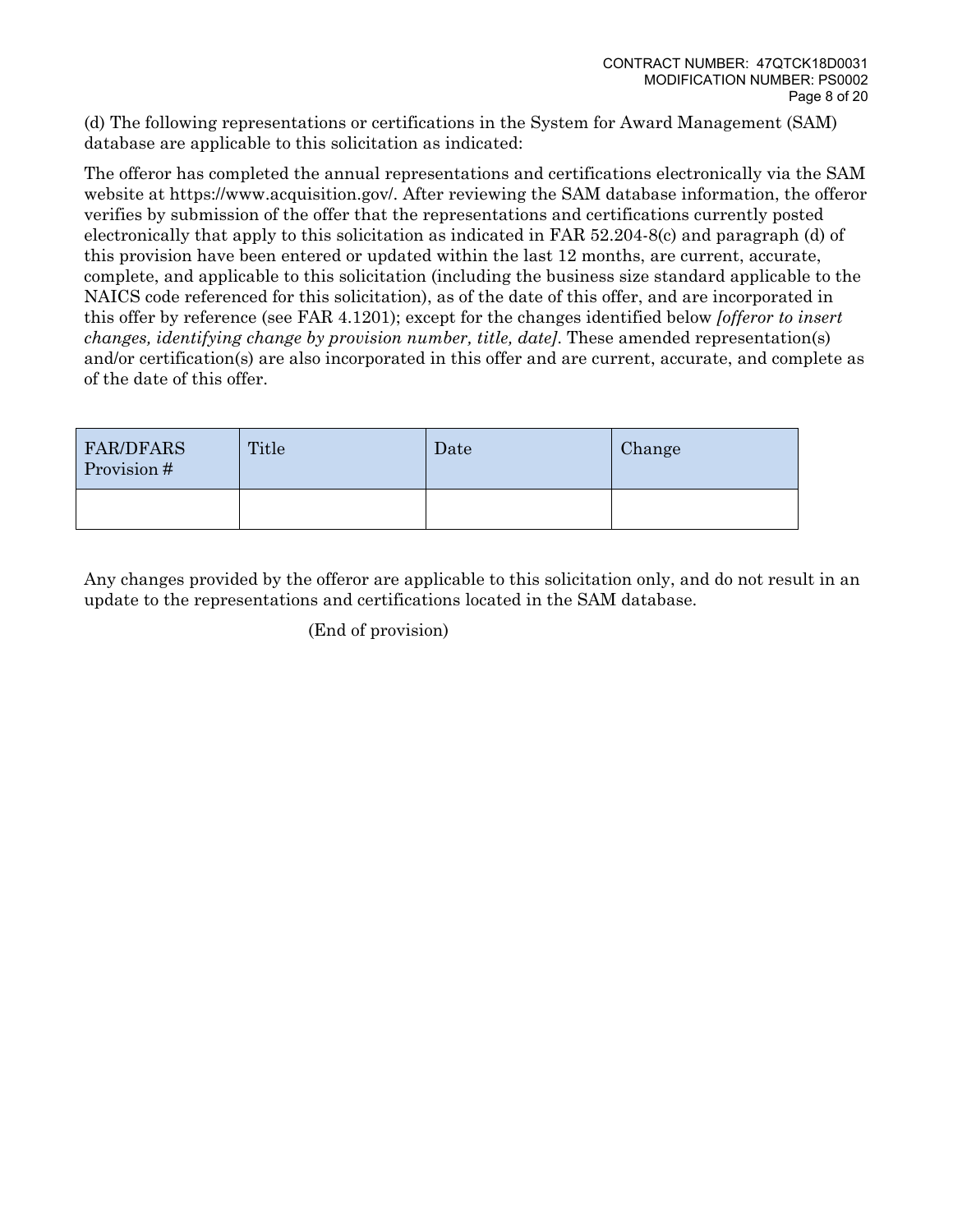(d) The following representations or certifications in the System for Award Management (SAM) database are applicable to this solicitation as indicated:

The offeror has completed the annual representations and certifications electronically via the SAM website at https://www.acquisition.gov/. After reviewing the SAM database information, the offeror verifies by submission of the offer that the representations and certifications currently posted electronically that apply to this solicitation as indicated in FAR 52.204-8(c) and paragraph (d) of this provision have been entered or updated within the last 12 months, are current, accurate, complete, and applicable to this solicitation (including the business size standard applicable to the NAICS code referenced for this solicitation), as of the date of this offer, and are incorporated in this offer by reference (see FAR 4.1201); except for the changes identified below *[offeror to insert changes, identifying change by provision number, title, date]*. These amended representation(s) and/or certification(s) are also incorporated in this offer and are current, accurate, and complete as of the date of this offer.

| <b>FAR/DFARS</b><br>Provision# | Title | Date | Change |
|--------------------------------|-------|------|--------|
|                                |       |      |        |

Any changes provided by the offeror are applicable to this solicitation only, and do not result in an update to the representations and certifications located in the SAM database.

(End of provision)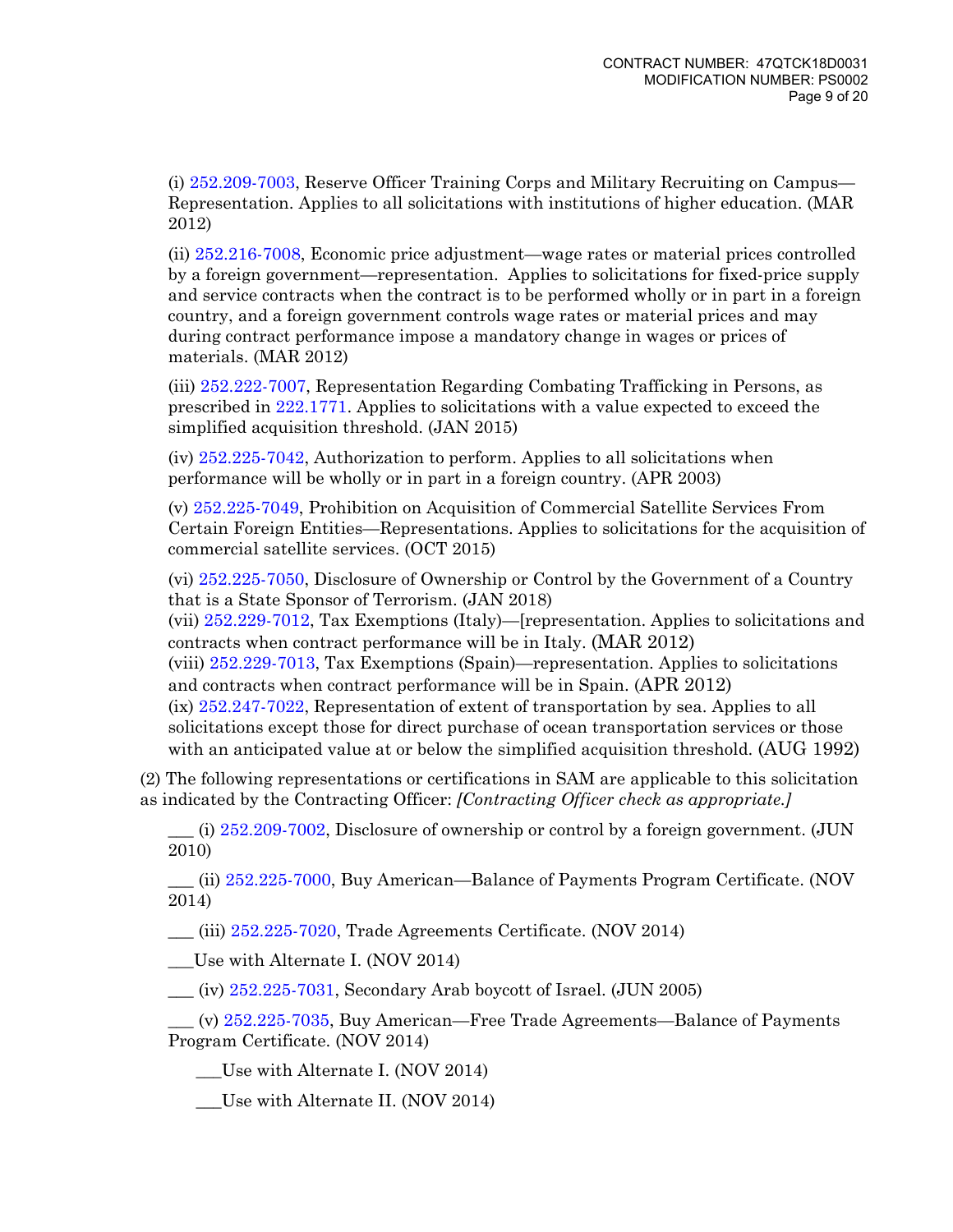(i) 252.209-7003, Reserve Officer Training Corps and Military Recruiting on Campus— Representation. Applies to all solicitations with institutions of higher education. (MAR 2012)

(ii) 252.216-7008, Economic price adjustment—wage rates or material prices controlled by a foreign government—representation. Applies to solicitations for fixed-price supply and service contracts when the contract is to be performed wholly or in part in a foreign country, and a foreign government controls wage rates or material prices and may during contract performance impose a mandatory change in wages or prices of materials. (MAR 2012)

(iii) 252.222-7007, Representation Regarding Combating Trafficking in Persons, as prescribed in 222.1771. Applies to solicitations with a value expected to exceed the simplified acquisition threshold. (JAN 2015)

(iv) 252.225-7042, Authorization to perform. Applies to all solicitations when performance will be wholly or in part in a foreign country. (APR 2003)

(v) 252.225-7049, Prohibition on Acquisition of Commercial Satellite Services From Certain Foreign Entities—Representations. Applies to solicitations for the acquisition of commercial satellite services. (OCT 2015)

(vi) 252.225-7050, Disclosure of Ownership or Control by the Government of a Country that is a State Sponsor of Terrorism. (JAN 2018) (vii) 252.229-7012, Tax Exemptions (Italy)—[representation. Applies to solicitations and contracts when contract performance will be in Italy. (MAR 2012) (viii) 252.229-7013, Tax Exemptions (Spain)—representation. Applies to solicitations and contracts when contract performance will be in Spain. (APR 2012) (ix) 252.247-7022, Representation of extent of transportation by sea. Applies to all solicitations except those for direct purchase of ocean transportation services or those with an anticipated value at or below the simplified acquisition threshold. (AUG 1992)

(2) The following representations or certifications in SAM are applicable to this solicitation as indicated by the Contracting Officer: *[Contracting Officer check as appropriate.]* 

\_\_\_ (i) 252.209-7002, Disclosure of ownership or control by a foreign government. (JUN 2010)

\_\_\_ (ii) 252.225-7000, Buy American—Balance of Payments Program Certificate. (NOV 2014)

\_\_\_ (iii) 252.225-7020, Trade Agreements Certificate. (NOV 2014)

\_\_\_Use with Alternate I. (NOV 2014)

\_\_\_ (iv) 252.225-7031, Secondary Arab boycott of Israel. (JUN 2005)

 $_{\text{v}}$  (v) 252.225-7035, Buy American—Free Trade Agreements—Balance of Payments Program Certificate. (NOV 2014)

Use with Alternate I. (NOV 2014)

Use with Alternate II. (NOV 2014)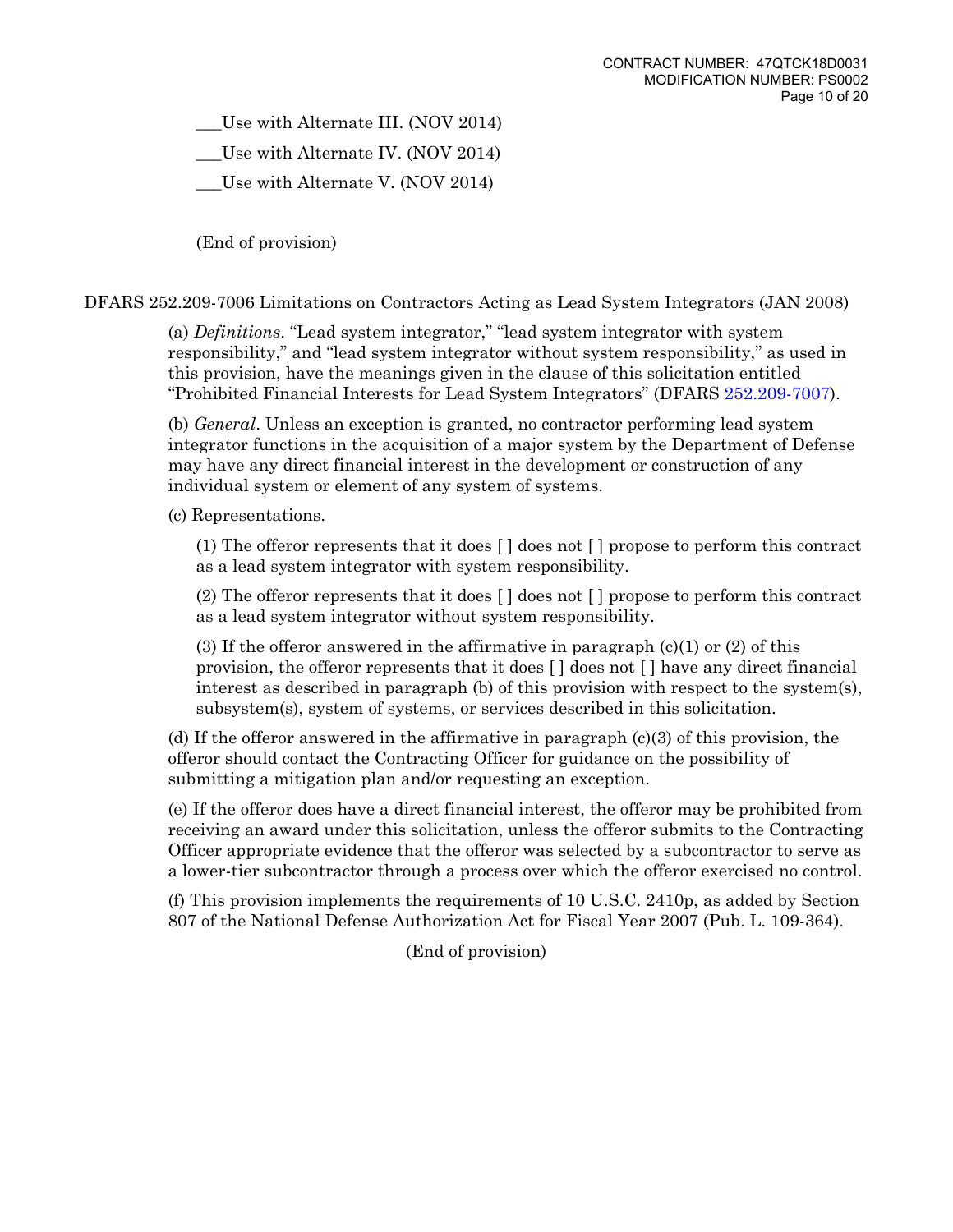\_\_\_Use with Alternate III. (NOV 2014)

Use with Alternate IV. (NOV 2014)

\_\_\_Use with Alternate V. (NOV 2014)

(End of provision)

DFARS 252.209-7006 Limitations on Contractors Acting as Lead System Integrators (JAN 2008)

(a) *Definitions*. "Lead system integrator," "lead system integrator with system responsibility," and "lead system integrator without system responsibility," as used in this provision, have the meanings given in the clause of this solicitation entitled "Prohibited Financial Interests for Lead System Integrators" (DFARS 252.209-7007).

(b) *General*. Unless an exception is granted, no contractor performing lead system integrator functions in the acquisition of a major system by the Department of Defense may have any direct financial interest in the development or construction of any individual system or element of any system of systems.

(c) Representations.

(1) The offeror represents that it does [ ] does not [ ] propose to perform this contract as a lead system integrator with system responsibility.

(2) The offeror represents that it does [ ] does not [ ] propose to perform this contract as a lead system integrator without system responsibility.

(3) If the offeror answered in the affirmative in paragraph  $(c)(1)$  or (2) of this provision, the offeror represents that it does [ ] does not [ ] have any direct financial interest as described in paragraph (b) of this provision with respect to the system(s), subsystem(s), system of systems, or services described in this solicitation.

(d) If the offeror answered in the affirmative in paragraph (c)(3) of this provision, the offeror should contact the Contracting Officer for guidance on the possibility of submitting a mitigation plan and/or requesting an exception.

(e) If the offeror does have a direct financial interest, the offeror may be prohibited from receiving an award under this solicitation, unless the offeror submits to the Contracting Officer appropriate evidence that the offeror was selected by a subcontractor to serve as a lower-tier subcontractor through a process over which the offeror exercised no control.

(f) This provision implements the requirements of 10 U.S.C. 2410p, as added by Section 807 of the National Defense Authorization Act for Fiscal Year 2007 (Pub. L. 109-364).

(End of provision)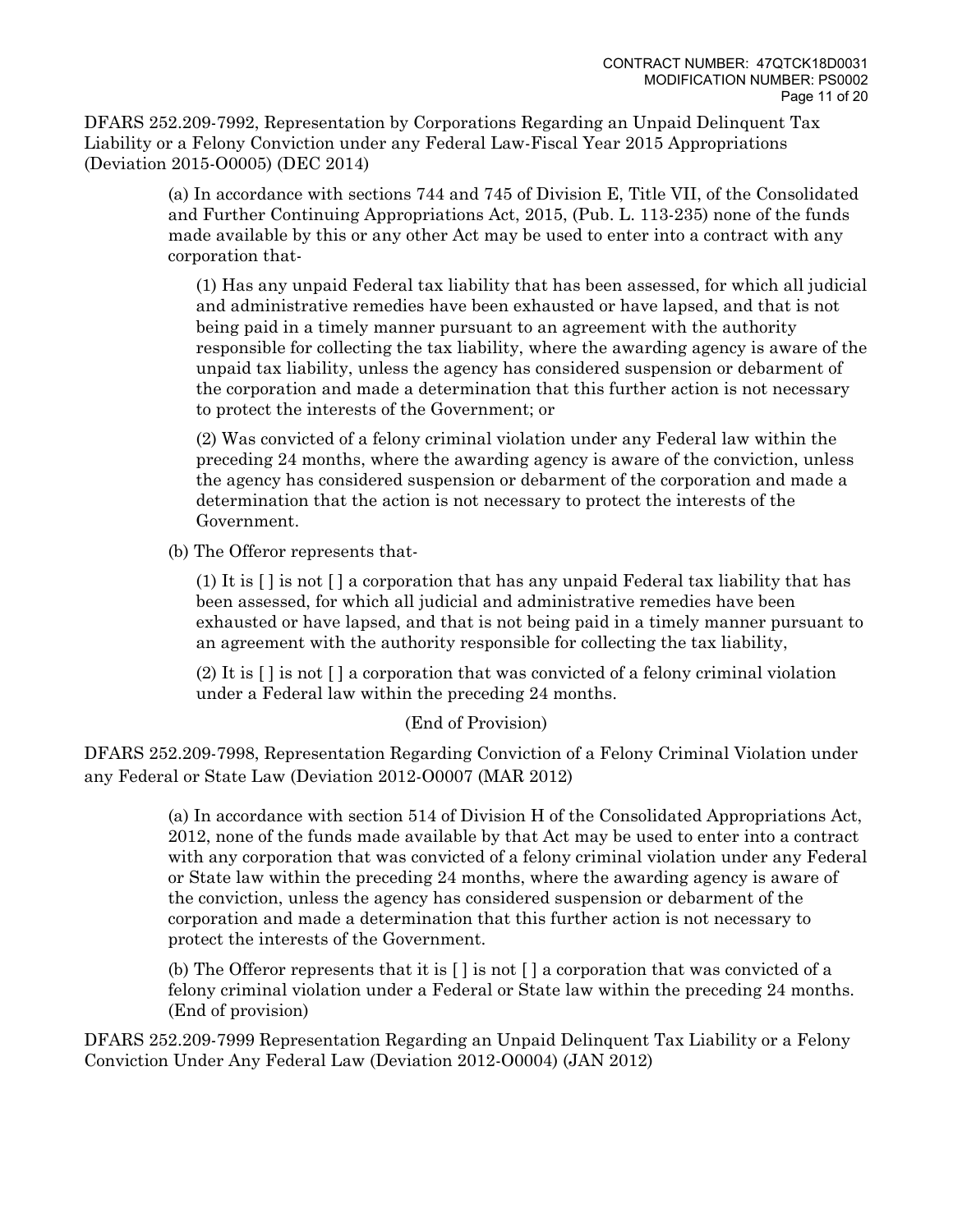DFARS 252.209-7992, Representation by Corporations Regarding an Unpaid Delinquent Tax Liability or a Felony Conviction under any Federal Law-Fiscal Year 2015 Appropriations (Deviation 2015-O0005) (DEC 2014)

> (a) In accordance with sections 744 and 745 of Division E, Title VII, of the Consolidated and Further Continuing Appropriations Act, 2015, (Pub. L. 113-235) none of the funds made available by this or any other Act may be used to enter into a contract with any corporation that-

(1) Has any unpaid Federal tax liability that has been assessed, for which all judicial and administrative remedies have been exhausted or have lapsed, and that is not being paid in a timely manner pursuant to an agreement with the authority responsible for collecting the tax liability, where the awarding agency is aware of the unpaid tax liability, unless the agency has considered suspension or debarment of the corporation and made a determination that this further action is not necessary to protect the interests of the Government; or

(2) Was convicted of a felony criminal violation under any Federal law within the preceding 24 months, where the awarding agency is aware of the conviction, unless the agency has considered suspension or debarment of the corporation and made a determination that the action is not necessary to protect the interests of the Government.

(b) The Offeror represents that-

(1) It is  $\lceil \cdot \rceil$  is not  $\lceil \cdot \rceil$  a corporation that has any unpaid Federal tax liability that has been assessed, for which all judicial and administrative remedies have been exhausted or have lapsed, and that is not being paid in a timely manner pursuant to an agreement with the authority responsible for collecting the tax liability,

(2) It is  $\lceil \cdot \rceil$  is not  $\lceil \cdot \rceil$  a corporation that was convicted of a felony criminal violation under a Federal law within the preceding 24 months.

# (End of Provision)

DFARS 252.209-7998, Representation Regarding Conviction of a Felony Criminal Violation under any Federal or State Law (Deviation 2012-O0007 (MAR 2012)

> (a) In accordance with section 514 of Division H of the Consolidated Appropriations Act, 2012, none of the funds made available by that Act may be used to enter into a contract with any corporation that was convicted of a felony criminal violation under any Federal or State law within the preceding 24 months, where the awarding agency is aware of the conviction, unless the agency has considered suspension or debarment of the corporation and made a determination that this further action is not necessary to protect the interests of the Government.

(b) The Offeror represents that it is  $\lceil \cdot \rceil$  is not  $\lceil \cdot \rceil$  a corporation that was convicted of a felony criminal violation under a Federal or State law within the preceding 24 months. (End of provision)

DFARS 252.209-7999 Representation Regarding an Unpaid Delinquent Tax Liability or a Felony Conviction Under Any Federal Law (Deviation 2012-O0004) (JAN 2012)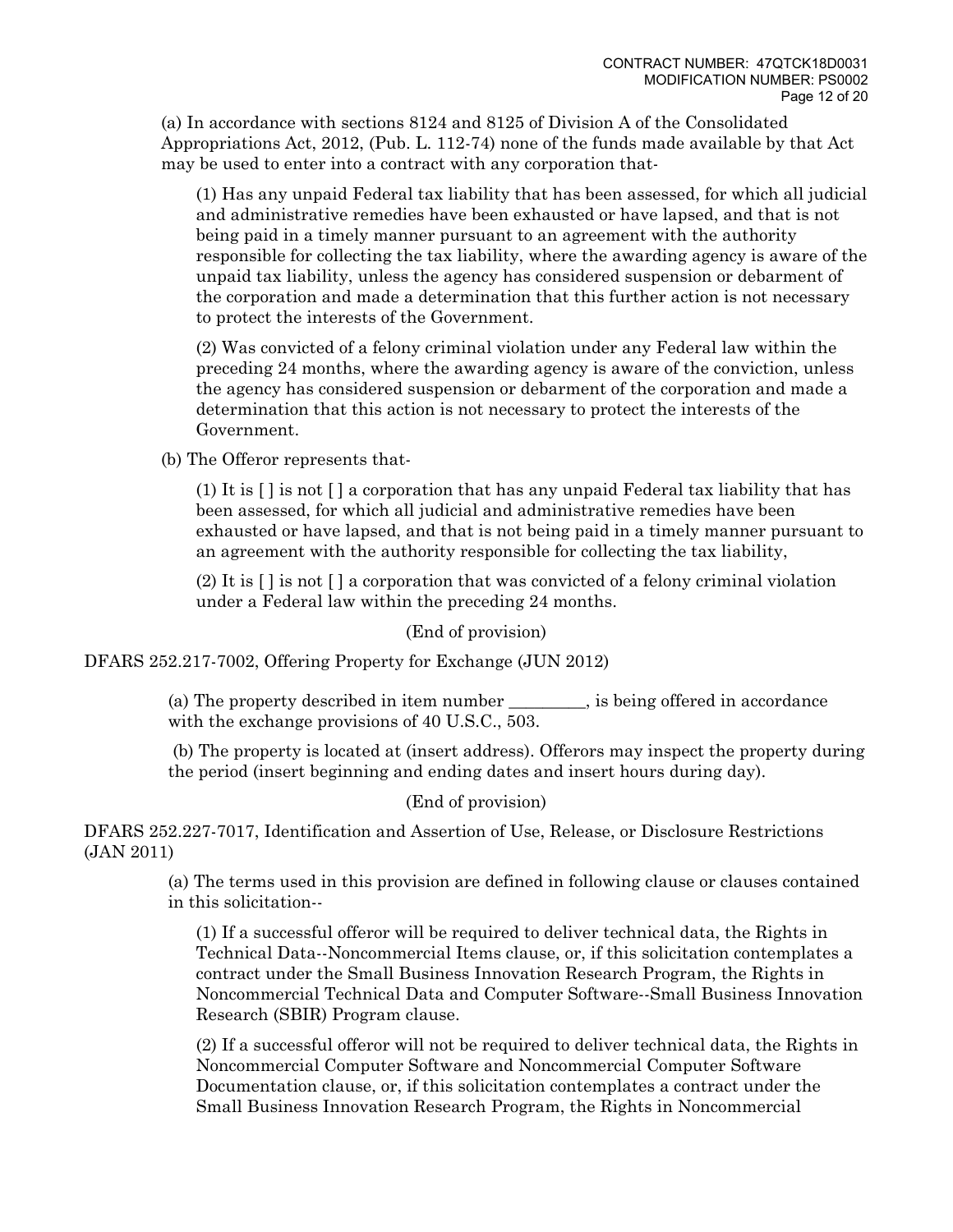(a) In accordance with sections 8124 and 8125 of Division A of the Consolidated Appropriations Act, 2012, (Pub. L. 112-74) none of the funds made available by that Act may be used to enter into a contract with any corporation that-

(1) Has any unpaid Federal tax liability that has been assessed, for which all judicial and administrative remedies have been exhausted or have lapsed, and that is not being paid in a timely manner pursuant to an agreement with the authority responsible for collecting the tax liability, where the awarding agency is aware of the unpaid tax liability, unless the agency has considered suspension or debarment of the corporation and made a determination that this further action is not necessary to protect the interests of the Government.

(2) Was convicted of a felony criminal violation under any Federal law within the preceding 24 months, where the awarding agency is aware of the conviction, unless the agency has considered suspension or debarment of the corporation and made a determination that this action is not necessary to protect the interests of the Government.

(b) The Offeror represents that-

(1) It is  $\lceil \cdot \rceil$  is not  $\lceil \cdot \rceil$  a corporation that has any unpaid Federal tax liability that has been assessed, for which all judicial and administrative remedies have been exhausted or have lapsed, and that is not being paid in a timely manner pursuant to an agreement with the authority responsible for collecting the tax liability,

(2) It is  $\lceil \cdot \rceil$  is not  $\lceil \cdot \rceil$  a corporation that was convicted of a felony criminal violation under a Federal law within the preceding 24 months.

(End of provision)

DFARS 252.217-7002, Offering Property for Exchange (JUN 2012)

(a) The property described in item number \_\_\_\_\_\_\_\_\_, is being offered in accordance with the exchange provisions of 40 U.S.C., 503.

 (b) The property is located at (insert address). Offerors may inspect the property during the period (insert beginning and ending dates and insert hours during day).

#### (End of provision)

DFARS 252.227-7017, Identification and Assertion of Use, Release, or Disclosure Restrictions (JAN 2011)

> (a) The terms used in this provision are defined in following clause or clauses contained in this solicitation--

(1) If a successful offeror will be required to deliver technical data, the Rights in Technical Data--Noncommercial Items clause, or, if this solicitation contemplates a contract under the Small Business Innovation Research Program, the Rights in Noncommercial Technical Data and Computer Software--Small Business Innovation Research (SBIR) Program clause.

(2) If a successful offeror will not be required to deliver technical data, the Rights in Noncommercial Computer Software and Noncommercial Computer Software Documentation clause, or, if this solicitation contemplates a contract under the Small Business Innovation Research Program, the Rights in Noncommercial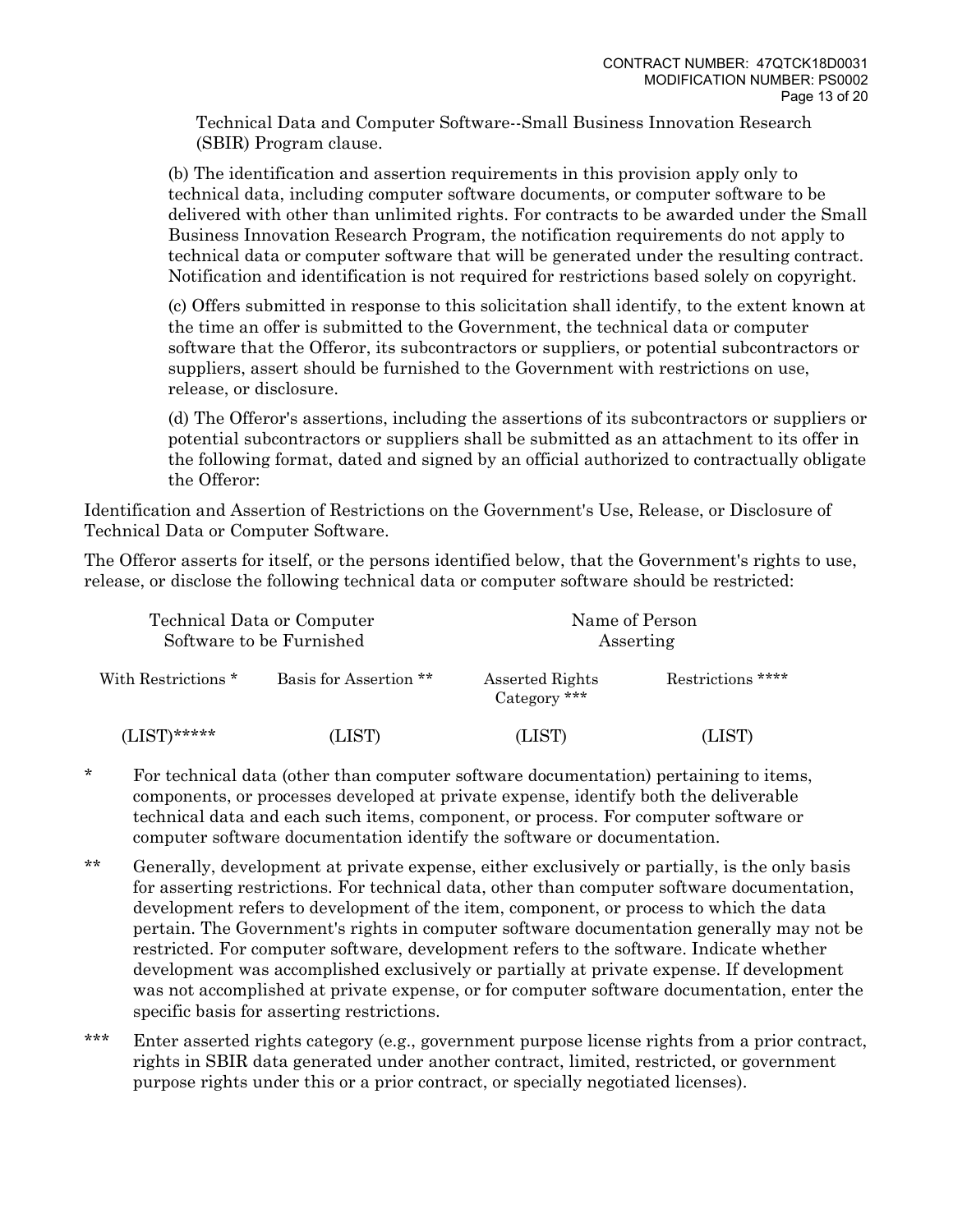Technical Data and Computer Software--Small Business Innovation Research (SBIR) Program clause.

(b) The identification and assertion requirements in this provision apply only to technical data, including computer software documents, or computer software to be delivered with other than unlimited rights. For contracts to be awarded under the Small Business Innovation Research Program, the notification requirements do not apply to technical data or computer software that will be generated under the resulting contract. Notification and identification is not required for restrictions based solely on copyright.

(c) Offers submitted in response to this solicitation shall identify, to the extent known at the time an offer is submitted to the Government, the technical data or computer software that the Offeror, its subcontractors or suppliers, or potential subcontractors or suppliers, assert should be furnished to the Government with restrictions on use, release, or disclosure.

(d) The Offeror's assertions, including the assertions of its subcontractors or suppliers or potential subcontractors or suppliers shall be submitted as an attachment to its offer in the following format, dated and signed by an official authorized to contractually obligate the Offeror:

Identification and Assertion of Restrictions on the Government's Use, Release, or Disclosure of Technical Data or Computer Software.

The Offeror asserts for itself, or the persons identified below, that the Government's rights to use, release, or disclose the following technical data or computer software should be restricted:

|                     | Technical Data or Computer<br>Software to be Furnished | Name of Person<br>Asserting     |                   |  |  |
|---------------------|--------------------------------------------------------|---------------------------------|-------------------|--|--|
| With Restrictions * | Basis for Assertion **                                 | Asserted Rights<br>Category *** | Restrictions **** |  |  |
| (LIST)*****         | LIST                                                   | (LIST)                          | 'LIST             |  |  |

- \* For technical data (other than computer software documentation) pertaining to items, components, or processes developed at private expense, identify both the deliverable technical data and each such items, component, or process. For computer software or computer software documentation identify the software or documentation.
- \*\* Generally, development at private expense, either exclusively or partially, is the only basis for asserting restrictions. For technical data, other than computer software documentation, development refers to development of the item, component, or process to which the data pertain. The Government's rights in computer software documentation generally may not be restricted. For computer software, development refers to the software. Indicate whether development was accomplished exclusively or partially at private expense. If development was not accomplished at private expense, or for computer software documentation, enter the specific basis for asserting restrictions.
- \*\*\* Enter asserted rights category (e.g., government purpose license rights from a prior contract, rights in SBIR data generated under another contract, limited, restricted, or government purpose rights under this or a prior contract, or specially negotiated licenses).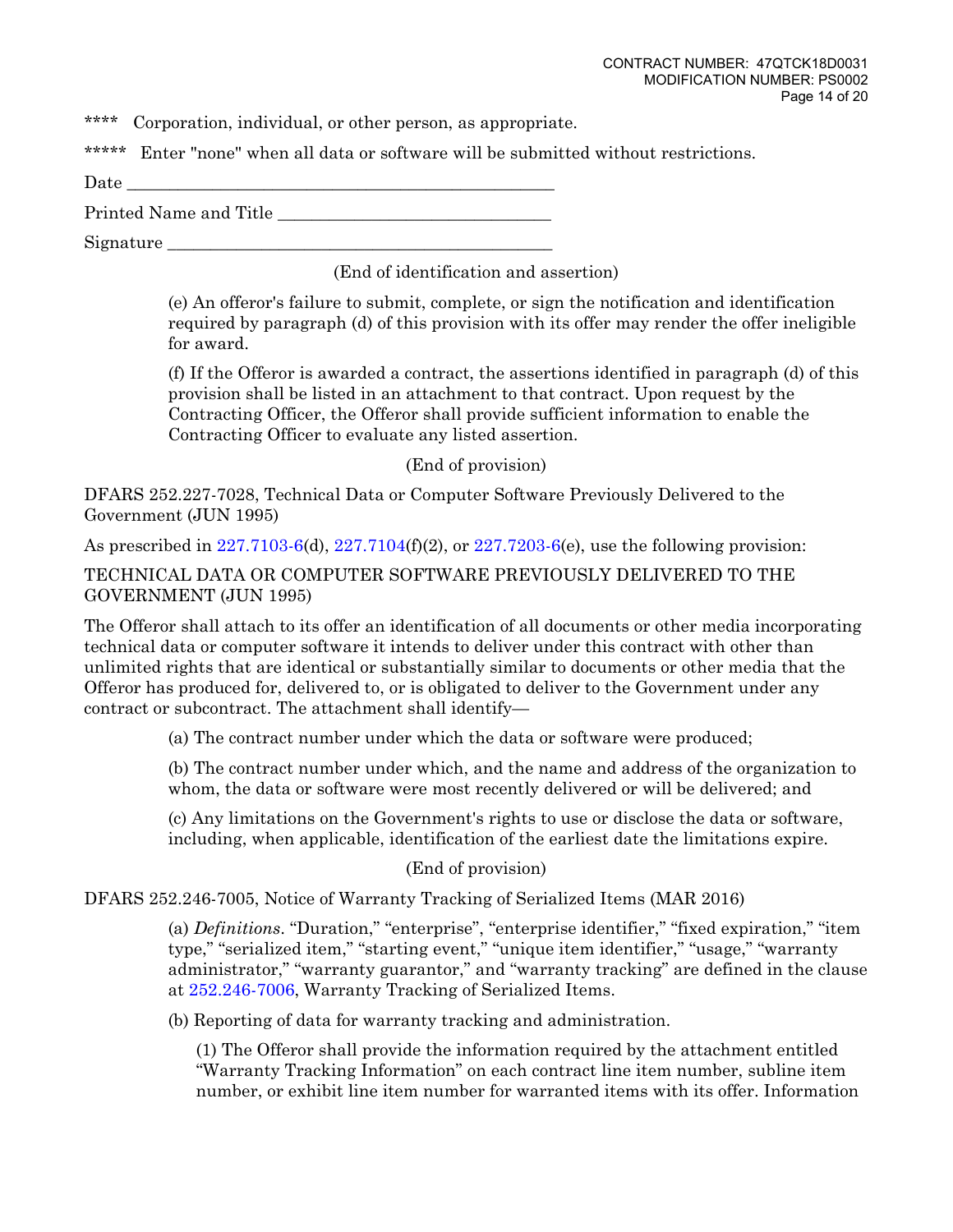\*\*\*\* Corporation, individual, or other person, as appropriate.

\*\*\*\*\* Enter "none" when all data or software will be submitted without restrictions.

Date \_\_\_\_\_\_\_\_\_\_\_\_\_\_\_\_\_\_\_\_\_\_\_\_\_\_\_\_\_\_\_\_\_\_\_\_\_\_\_\_\_\_\_\_\_\_\_\_\_\_

Printed Name and Title

Signature

(End of identification and assertion)

(e) An offeror's failure to submit, complete, or sign the notification and identification required by paragraph (d) of this provision with its offer may render the offer ineligible for award.

(f) If the Offeror is awarded a contract, the assertions identified in paragraph (d) of this provision shall be listed in an attachment to that contract. Upon request by the Contracting Officer, the Offeror shall provide sufficient information to enable the Contracting Officer to evaluate any listed assertion.

(End of provision)

DFARS 252.227-7028, Technical Data or Computer Software Previously Delivered to the Government (JUN 1995)

As prescribed in 227.7103-6(d), 227.7104(f)(2), or 227.7203-6(e), use the following provision:

TECHNICAL DATA OR COMPUTER SOFTWARE PREVIOUSLY DELIVERED TO THE GOVERNMENT (JUN 1995)

The Offeror shall attach to its offer an identification of all documents or other media incorporating technical data or computer software it intends to deliver under this contract with other than unlimited rights that are identical or substantially similar to documents or other media that the Offeror has produced for, delivered to, or is obligated to deliver to the Government under any contract or subcontract. The attachment shall identify—

(a) The contract number under which the data or software were produced;

(b) The contract number under which, and the name and address of the organization to whom, the data or software were most recently delivered or will be delivered; and

(c) Any limitations on the Government's rights to use or disclose the data or software, including, when applicable, identification of the earliest date the limitations expire.

#### (End of provision)

DFARS 252.246-7005, Notice of Warranty Tracking of Serialized Items (MAR 2016)

(a) *Definitions*. "Duration," "enterprise", "enterprise identifier," "fixed expiration," "item type," "serialized item," "starting event," "unique item identifier," "usage," "warranty administrator," "warranty guarantor," and "warranty tracking" are defined in the clause at 252.246-7006, Warranty Tracking of Serialized Items.

(b) Reporting of data for warranty tracking and administration.

(1) The Offeror shall provide the information required by the attachment entitled "Warranty Tracking Information" on each contract line item number, subline item number, or exhibit line item number for warranted items with its offer. Information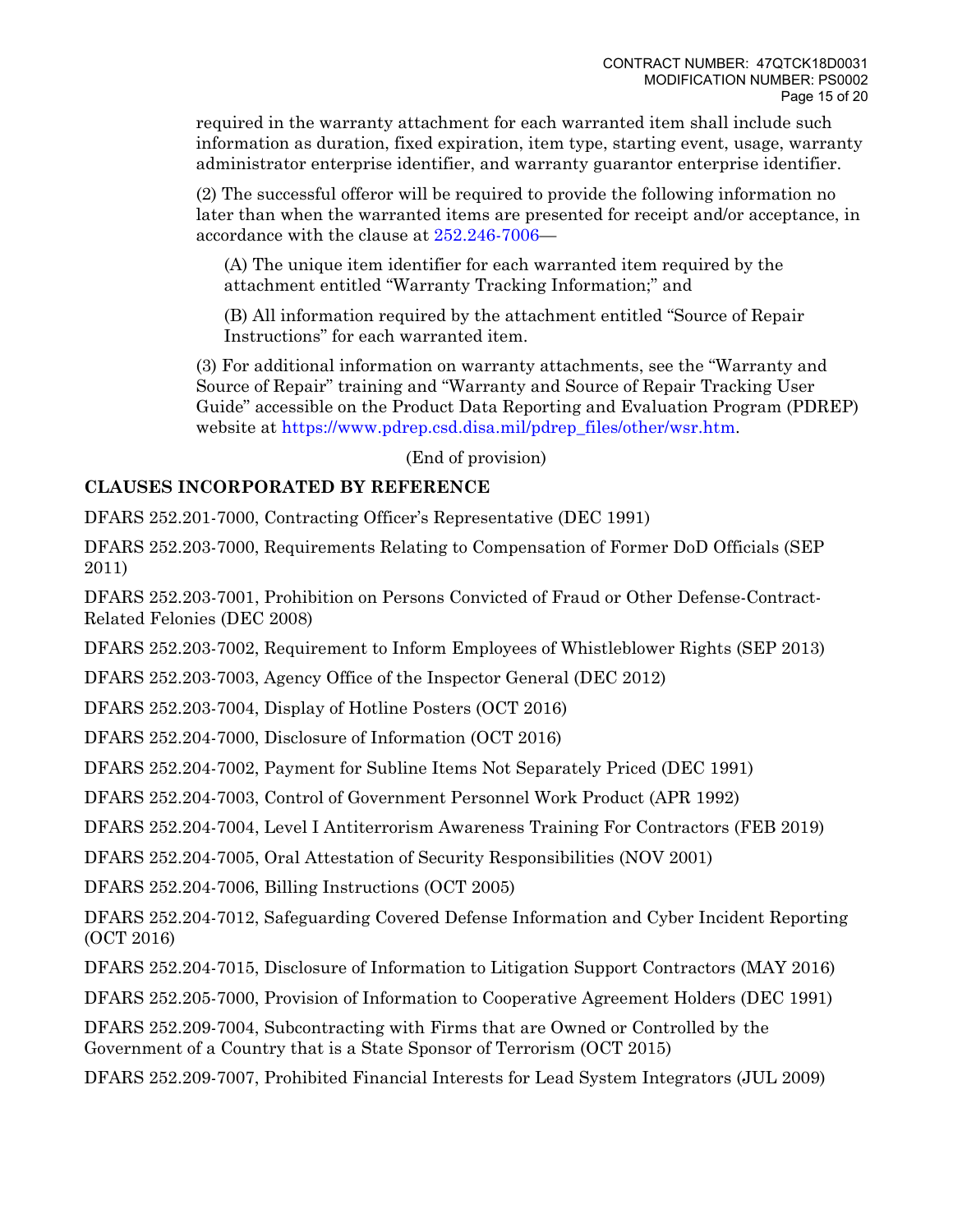required in the warranty attachment for each warranted item shall include such information as duration, fixed expiration, item type, starting event, usage, warranty administrator enterprise identifier, and warranty guarantor enterprise identifier.

(2) The successful offeror will be required to provide the following information no later than when the warranted items are presented for receipt and/or acceptance, in accordance with the clause at 252.246-7006—

(A) The unique item identifier for each warranted item required by the attachment entitled "Warranty Tracking Information;" and

(B) All information required by the attachment entitled "Source of Repair Instructions" for each warranted item.

(3) For additional information on warranty attachments, see the "Warranty and Source of Repair" training and "Warranty and Source of Repair Tracking User Guide" accessible on the Product Data Reporting and Evaluation Program (PDREP) website at https://www.pdrep.csd.disa.mil/pdrep\_files/other/wsr.htm.

(End of provision)

# **CLAUSES INCORPORATED BY REFERENCE**

DFARS 252.201-7000, Contracting Officer's Representative (DEC 1991)

DFARS 252.203-7000, Requirements Relating to Compensation of Former DoD Officials (SEP 2011)

DFARS 252.203-7001, Prohibition on Persons Convicted of Fraud or Other Defense-Contract-Related Felonies (DEC 2008)

DFARS 252.203-7002, Requirement to Inform Employees of Whistleblower Rights (SEP 2013)

DFARS 252.203-7003, Agency Office of the Inspector General (DEC 2012)

DFARS 252.203-7004, Display of Hotline Posters (OCT 2016)

DFARS 252.204-7000, Disclosure of Information (OCT 2016)

DFARS 252.204-7002, Payment for Subline Items Not Separately Priced (DEC 1991)

DFARS 252.204-7003, Control of Government Personnel Work Product (APR 1992)

DFARS 252.204-7004, Level I Antiterrorism Awareness Training For Contractors (FEB 2019)

DFARS 252.204-7005, Oral Attestation of Security Responsibilities (NOV 2001)

DFARS 252.204-7006, Billing Instructions (OCT 2005)

DFARS 252.204-7012, Safeguarding Covered Defense Information and Cyber Incident Reporting (OCT 2016)

DFARS 252.204-7015, Disclosure of Information to Litigation Support Contractors (MAY 2016)

DFARS 252.205-7000, Provision of Information to Cooperative Agreement Holders (DEC 1991)

DFARS 252.209-7004, Subcontracting with Firms that are Owned or Controlled by the Government of a Country that is a State Sponsor of Terrorism (OCT 2015)

DFARS 252.209-7007, Prohibited Financial Interests for Lead System Integrators (JUL 2009)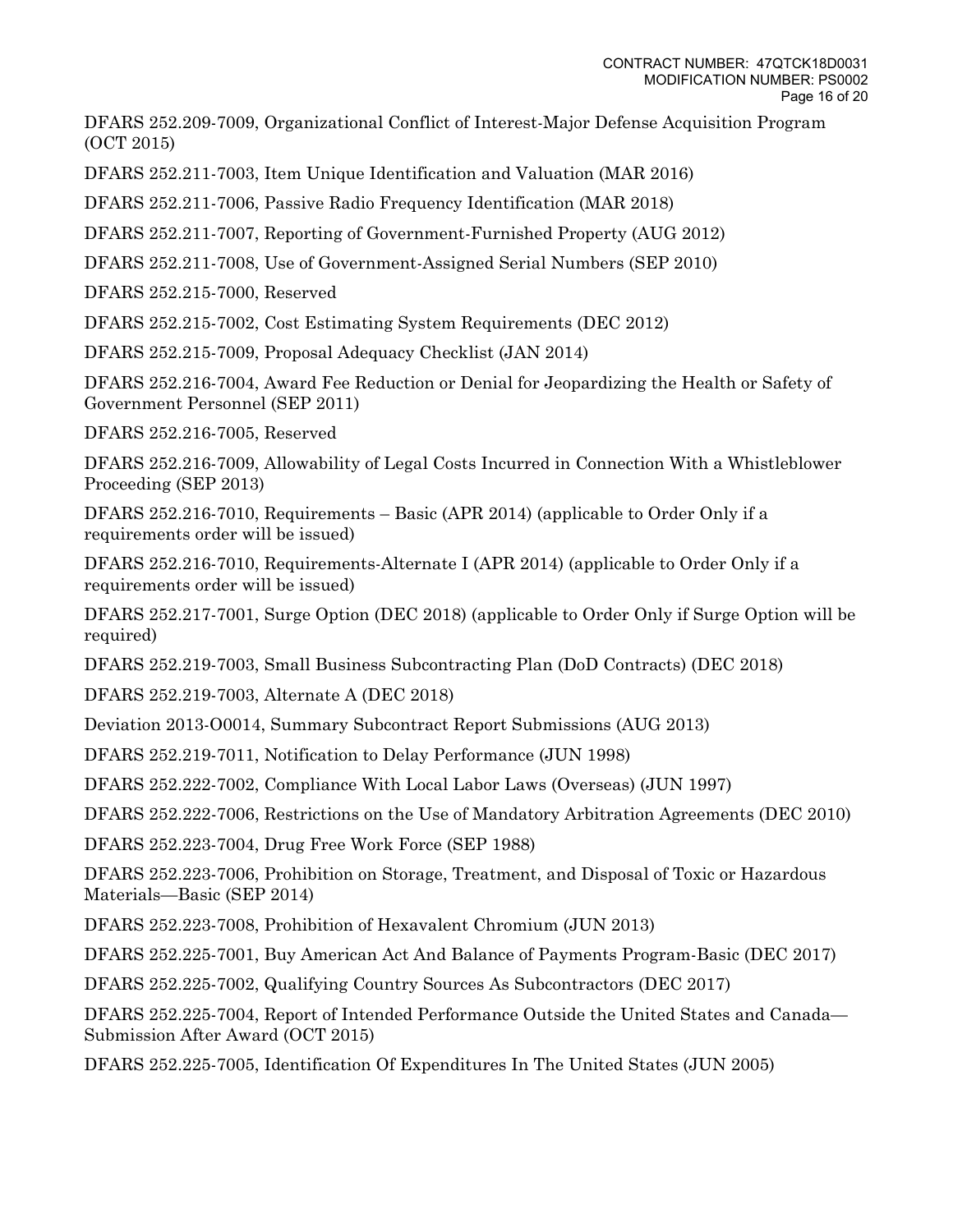DFARS 252.209-7009, Organizational Conflict of Interest-Major Defense Acquisition Program (OCT 2015)

DFARS 252.211-7003, Item Unique Identification and Valuation (MAR 2016)

DFARS 252.211-7006, Passive Radio Frequency Identification (MAR 2018)

DFARS 252.211-7007, Reporting of Government-Furnished Property (AUG 2012)

DFARS 252.211-7008, Use of Government-Assigned Serial Numbers (SEP 2010)

DFARS 252.215-7000, Reserved

DFARS 252.215-7002, Cost Estimating System Requirements (DEC 2012)

DFARS 252.215-7009, Proposal Adequacy Checklist (JAN 2014)

DFARS 252.216-7004, Award Fee Reduction or Denial for Jeopardizing the Health or Safety of Government Personnel (SEP 2011)

DFARS 252.216-7005, Reserved

DFARS 252.216-7009, Allowability of Legal Costs Incurred in Connection With a Whistleblower Proceeding (SEP 2013)

DFARS 252.216-7010, Requirements – Basic (APR 2014) (applicable to Order Only if a requirements order will be issued)

DFARS 252.216-7010, Requirements-Alternate I (APR 2014) (applicable to Order Only if a requirements order will be issued)

DFARS 252.217-7001, Surge Option (DEC 2018) (applicable to Order Only if Surge Option will be required)

DFARS 252.219-7003, Small Business Subcontracting Plan (DoD Contracts) (DEC 2018)

DFARS 252.219-7003, Alternate A (DEC 2018)

Deviation 2013-O0014, Summary Subcontract Report Submissions (AUG 2013)

DFARS 252.219-7011, Notification to Delay Performance (JUN 1998)

DFARS 252.222-7002, Compliance With Local Labor Laws (Overseas) (JUN 1997)

DFARS 252.222-7006, Restrictions on the Use of Mandatory Arbitration Agreements (DEC 2010)

DFARS 252.223-7004, Drug Free Work Force (SEP 1988)

DFARS 252.223-7006, Prohibition on Storage, Treatment, and Disposal of Toxic or Hazardous Materials—Basic (SEP 2014)

DFARS 252.223-7008, Prohibition of Hexavalent Chromium (JUN 2013)

DFARS 252.225-7001, Buy American Act And Balance of Payments Program-Basic (DEC 2017)

DFARS 252.225-7002, Qualifying Country Sources As Subcontractors (DEC 2017)

DFARS 252.225-7004, Report of Intended Performance Outside the United States and Canada— Submission After Award (OCT 2015)

DFARS 252.225-7005, Identification Of Expenditures In The United States (JUN 2005)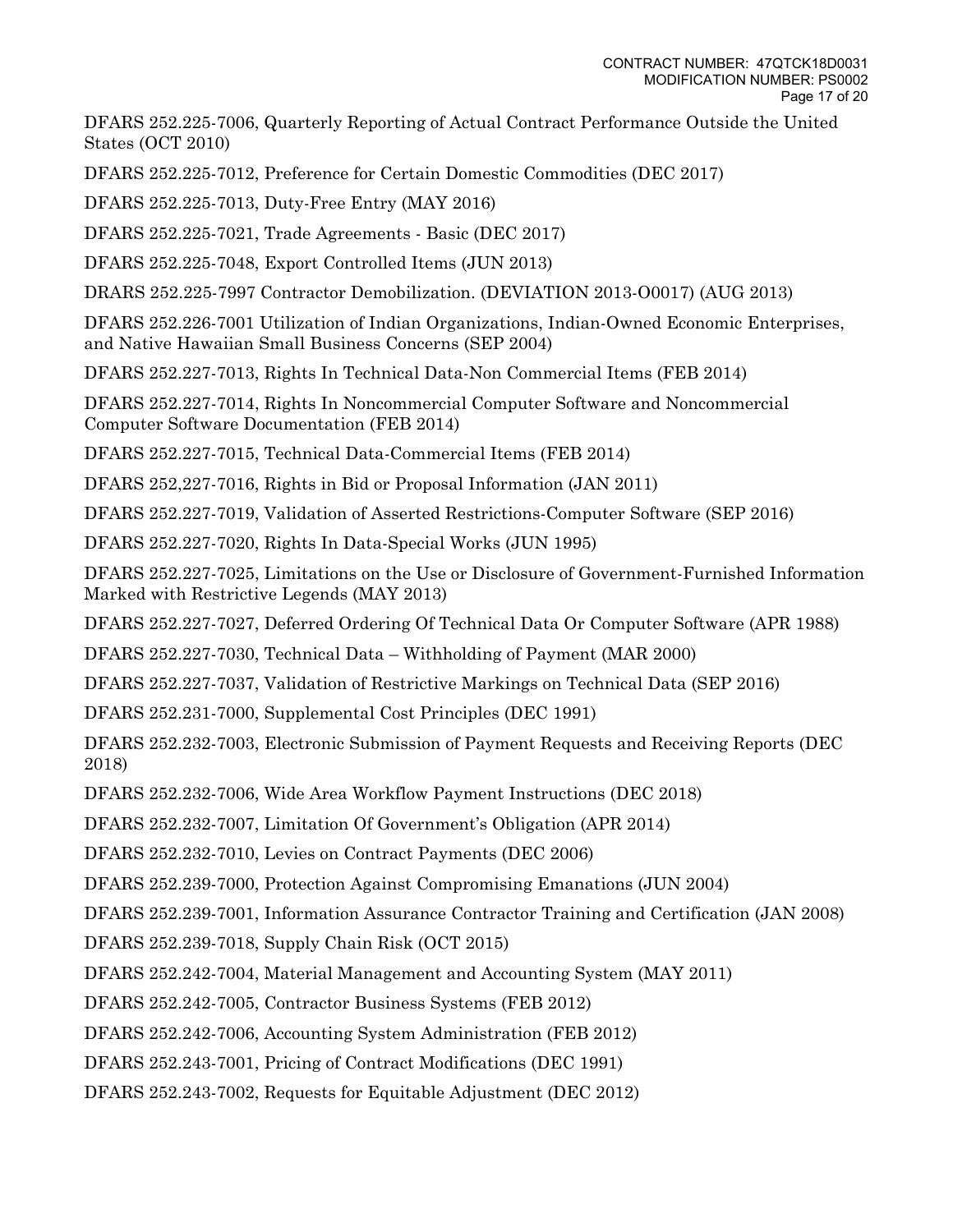DFARS 252.225-7006, Quarterly Reporting of Actual Contract Performance Outside the United States (OCT 2010)

DFARS 252.225-7012, Preference for Certain Domestic Commodities (DEC 2017)

DFARS 252.225-7013, Duty-Free Entry (MAY 2016)

DFARS 252.225-7021, Trade Agreements - Basic (DEC 2017)

DFARS 252.225-7048, Export Controlled Items (JUN 2013)

DRARS 252.225-7997 Contractor Demobilization. (DEVIATION 2013-O0017) (AUG 2013)

DFARS 252.226-7001 Utilization of Indian Organizations, Indian-Owned Economic Enterprises, and Native Hawaiian Small Business Concerns (SEP 2004)

DFARS 252.227-7013, Rights In Technical Data-Non Commercial Items (FEB 2014)

DFARS 252.227-7014, Rights In Noncommercial Computer Software and Noncommercial Computer Software Documentation (FEB 2014)

DFARS 252.227-7015, Technical Data-Commercial Items (FEB 2014)

DFARS 252,227-7016, Rights in Bid or Proposal Information (JAN 2011)

DFARS 252.227-7019, Validation of Asserted Restrictions-Computer Software (SEP 2016)

DFARS 252.227-7020, Rights In Data-Special Works (JUN 1995)

DFARS 252.227-7025, Limitations on the Use or Disclosure of Government-Furnished Information Marked with Restrictive Legends (MAY 2013)

DFARS 252.227-7027, Deferred Ordering Of Technical Data Or Computer Software (APR 1988)

DFARS 252.227-7030, Technical Data – Withholding of Payment (MAR 2000)

DFARS 252.227-7037, Validation of Restrictive Markings on Technical Data (SEP 2016)

DFARS 252.231-7000, Supplemental Cost Principles (DEC 1991)

DFARS 252.232-7003, Electronic Submission of Payment Requests and Receiving Reports (DEC 2018)

DFARS 252.232-7006, Wide Area Workflow Payment Instructions (DEC 2018)

DFARS 252.232-7007, Limitation Of Government's Obligation (APR 2014)

DFARS 252.232-7010, Levies on Contract Payments (DEC 2006)

DFARS 252.239-7000, Protection Against Compromising Emanations (JUN 2004)

DFARS 252.239-7001, Information Assurance Contractor Training and Certification (JAN 2008)

DFARS 252.239-7018, Supply Chain Risk (OCT 2015)

DFARS 252.242-7004, Material Management and Accounting System (MAY 2011)

DFARS 252.242-7005, Contractor Business Systems (FEB 2012)

DFARS 252.242-7006, Accounting System Administration (FEB 2012)

DFARS 252.243-7001, Pricing of Contract Modifications (DEC 1991)

DFARS 252.243-7002, Requests for Equitable Adjustment (DEC 2012)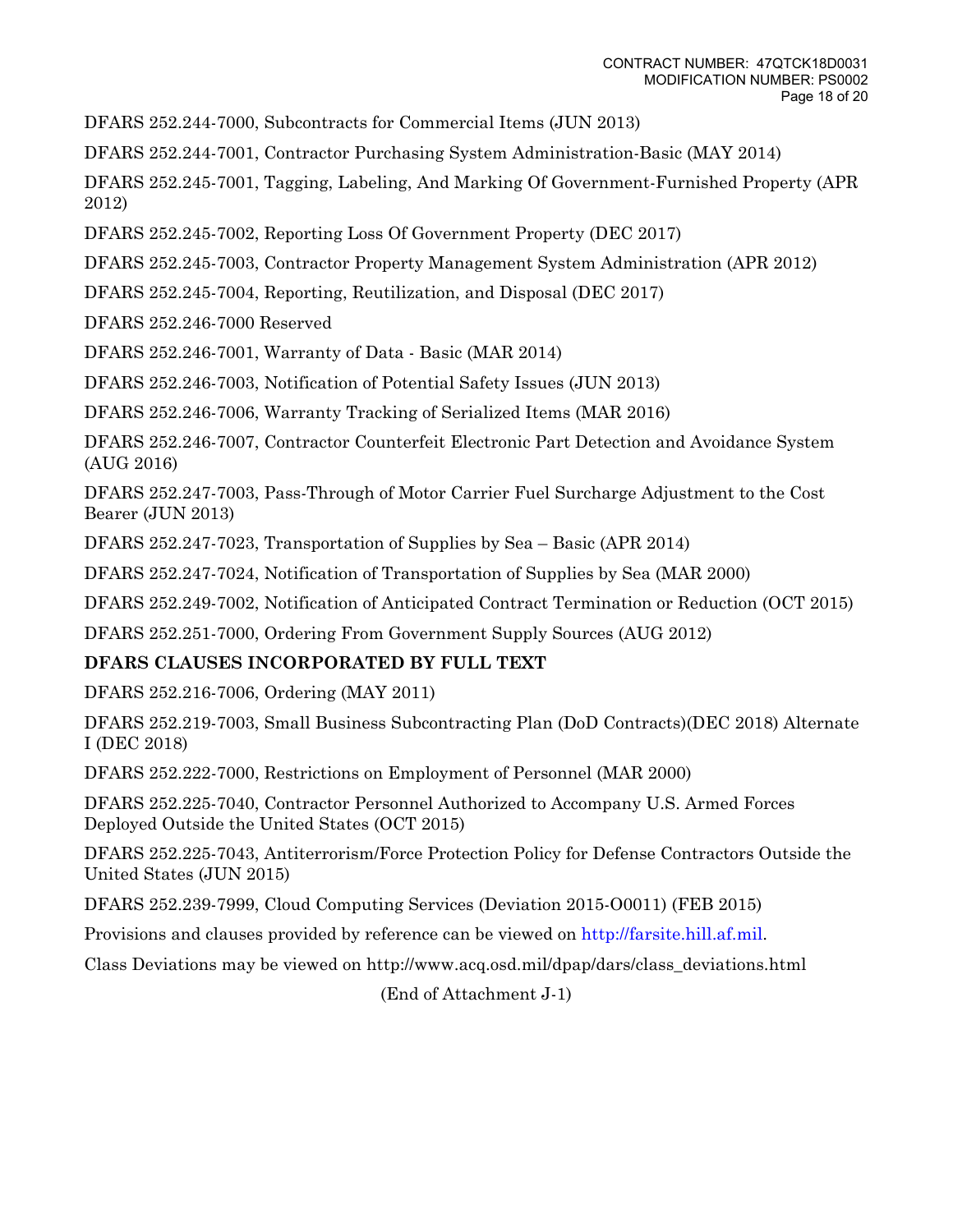DFARS 252.244-7000, Subcontracts for Commercial Items (JUN 2013)

DFARS 252.244-7001, Contractor Purchasing System Administration-Basic (MAY 2014)

DFARS 252.245-7001, Tagging, Labeling, And Marking Of Government-Furnished Property (APR 2012)

DFARS 252.245-7002, Reporting Loss Of Government Property (DEC 2017)

DFARS 252.245-7003, Contractor Property Management System Administration (APR 2012)

DFARS 252.245-7004, Reporting, Reutilization, and Disposal (DEC 2017)

DFARS 252.246-7000 Reserved

DFARS 252.246-7001, Warranty of Data - Basic (MAR 2014)

DFARS 252.246-7003, Notification of Potential Safety Issues (JUN 2013)

DFARS 252.246-7006, Warranty Tracking of Serialized Items (MAR 2016)

DFARS 252.246-7007, Contractor Counterfeit Electronic Part Detection and Avoidance System (AUG 2016)

DFARS 252.247-7003, Pass-Through of Motor Carrier Fuel Surcharge Adjustment to the Cost Bearer (JUN 2013)

DFARS 252.247-7023, Transportation of Supplies by Sea – Basic (APR 2014)

DFARS 252.247-7024, Notification of Transportation of Supplies by Sea (MAR 2000)

DFARS 252.249-7002, Notification of Anticipated Contract Termination or Reduction (OCT 2015)

DFARS 252.251-7000, Ordering From Government Supply Sources (AUG 2012)

# **DFARS CLAUSES INCORPORATED BY FULL TEXT**

DFARS 252.216-7006, Ordering (MAY 2011)

DFARS 252.219-7003, Small Business Subcontracting Plan (DoD Contracts)(DEC 2018) Alternate I (DEC 2018)

DFARS 252.222-7000, Restrictions on Employment of Personnel (MAR 2000)

DFARS 252.225-7040, Contractor Personnel Authorized to Accompany U.S. Armed Forces Deployed Outside the United States (OCT 2015)

DFARS 252.225-7043, Antiterrorism/Force Protection Policy for Defense Contractors Outside the United States (JUN 2015)

DFARS 252.239-7999, Cloud Computing Services (Deviation 2015-O0011) (FEB 2015)

Provisions and clauses provided by reference can be viewed on http://farsite.hill.af.mil.

Class Deviations may be viewed on http://www.acq.osd.mil/dpap/dars/class\_deviations.html

(End of Attachment J-1)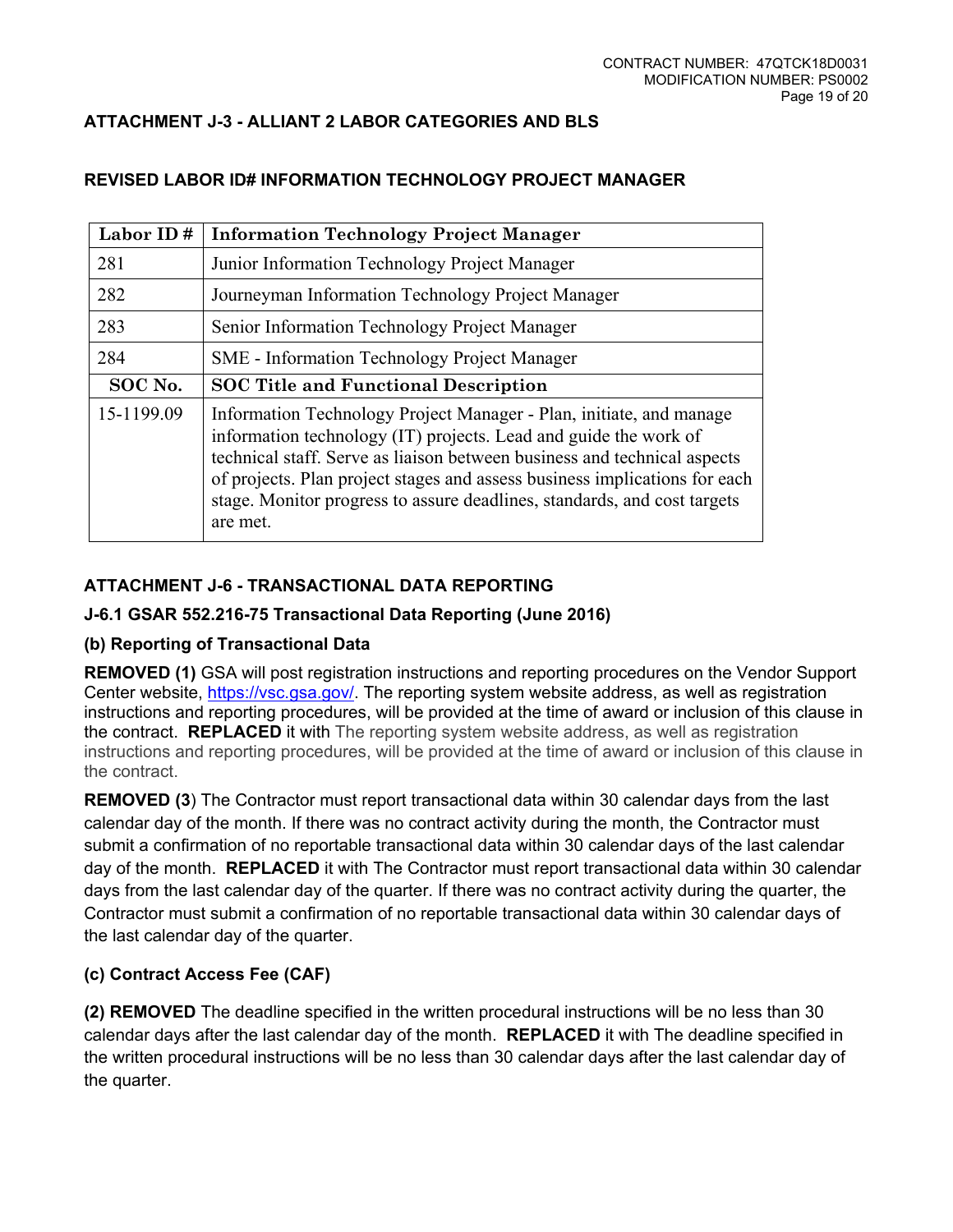# **ATTACHMENT J-3 - ALLIANT 2 LABOR CATEGORIES AND BLS**

# **REVISED LABOR ID# INFORMATION TECHNOLOGY PROJECT MANAGER**

| Labor ID#  | <b>Information Technology Project Manager</b>                                                                                                                                                                                                                                                                                                                                             |
|------------|-------------------------------------------------------------------------------------------------------------------------------------------------------------------------------------------------------------------------------------------------------------------------------------------------------------------------------------------------------------------------------------------|
| 281        | Junior Information Technology Project Manager                                                                                                                                                                                                                                                                                                                                             |
| 282        | Journeyman Information Technology Project Manager                                                                                                                                                                                                                                                                                                                                         |
| 283        | Senior Information Technology Project Manager                                                                                                                                                                                                                                                                                                                                             |
| 284        | <b>SME</b> - Information Technology Project Manager                                                                                                                                                                                                                                                                                                                                       |
| SOC No.    | <b>SOC Title and Functional Description</b>                                                                                                                                                                                                                                                                                                                                               |
| 15-1199.09 | Information Technology Project Manager - Plan, initiate, and manage<br>information technology (IT) projects. Lead and guide the work of<br>technical staff. Serve as liaison between business and technical aspects<br>of projects. Plan project stages and assess business implications for each<br>stage. Monitor progress to assure deadlines, standards, and cost targets<br>are met. |

# **ATTACHMENT J-6 - TRANSACTIONAL DATA REPORTING**

#### **J-6.1 GSAR 552.216-75 Transactional Data Reporting (June 2016)**

#### **(b) Reporting of Transactional Data**

**REMOVED (1)** GSA will post registration instructions and reporting procedures on the Vendor Support Center website, [https://vsc.gsa.gov/.](https://vsc.gsa.gov/) The reporting system website address, as well as registration instructions and reporting procedures, will be provided at the time of award or inclusion of this clause in the contract. **REPLACED** it with The reporting system website address, as well as registration instructions and reporting procedures, will be provided at the time of award or inclusion of this clause in the contract.

**REMOVED (3**) The Contractor must report transactional data within 30 calendar days from the last calendar day of the month. If there was no contract activity during the month, the Contractor must submit a confirmation of no reportable transactional data within 30 calendar days of the last calendar day of the month. **REPLACED** it with The Contractor must report transactional data within 30 calendar days from the last calendar day of the quarter. If there was no contract activity during the quarter, the Contractor must submit a confirmation of no reportable transactional data within 30 calendar days of the last calendar day of the quarter.

# **(c) Contract Access Fee (CAF)**

**(2) REMOVED** The deadline specified in the written procedural instructions will be no less than 30 calendar days after the last calendar day of the month. **REPLACED** it with The deadline specified in the written procedural instructions will be no less than 30 calendar days after the last calendar day of the quarter.